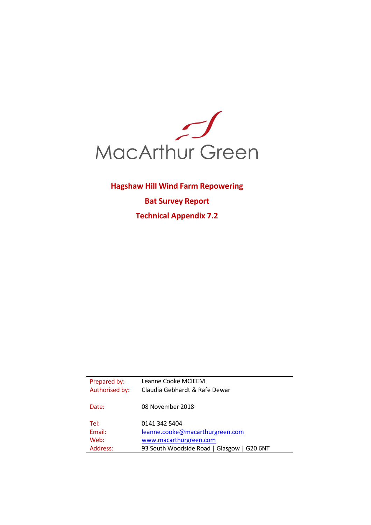

**Hagshaw Hill Wind Farm Repowering Bat Survey Report Technical Appendix 7.2**

| Prepared by:   | Leanne Cooke MCIEEM                        |
|----------------|--------------------------------------------|
| Authorised by: | Claudia Gebhardt & Rafe Dewar              |
|                |                                            |
| Date:          | 08 November 2018                           |
|                |                                            |
| Tel:           | 0141 342 5404                              |
| Email:         | leanne.cooke@macarthurgreen.com            |
| Web:           | www.macarthurgreen.com                     |
| Address:       | 93 South Woodside Road   Glasgow   G20 6NT |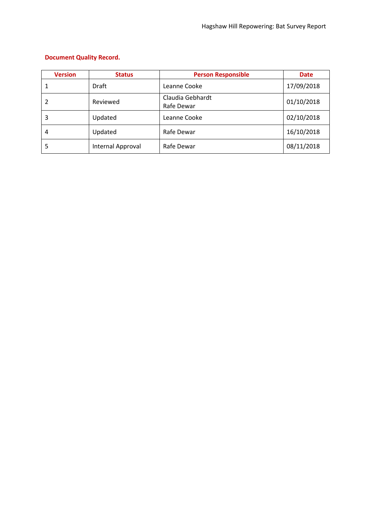| <b>Version</b> | <b>Status</b>     | <b>Person Responsible</b>      | <b>Date</b> |
|----------------|-------------------|--------------------------------|-------------|
|                | <b>Draft</b>      | Leanne Cooke                   | 17/09/2018  |
|                | Reviewed          | Claudia Gebhardt<br>Rafe Dewar | 01/10/2018  |
| 3              | Updated           | Leanne Cooke                   | 02/10/2018  |
| 4              | Updated           | Rafe Dewar                     | 16/10/2018  |
| 5              | Internal Approval | Rafe Dewar                     | 08/11/2018  |

## **Document Quality Record.**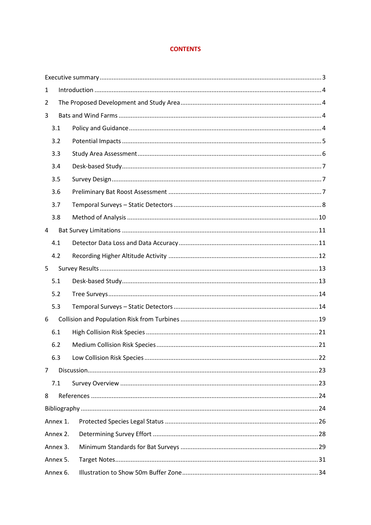### **CONTENTS**

| $\mathbf{1}$   |          |  |
|----------------|----------|--|
| $\overline{2}$ |          |  |
| 3              |          |  |
|                | 3.1      |  |
|                | 3.2      |  |
|                | 3.3      |  |
|                | 3.4      |  |
|                | 3.5      |  |
|                | 3.6      |  |
|                | 3.7      |  |
|                | 3.8      |  |
| 4              |          |  |
|                | 4.1      |  |
|                | 4.2      |  |
| 5              |          |  |
|                | 5.1      |  |
|                | 5.2      |  |
|                | 5.3      |  |
| 6              |          |  |
|                | 6.1      |  |
|                | 6.2      |  |
|                | 6.3      |  |
| 7              |          |  |
|                | 7.1      |  |
| 8              |          |  |
|                |          |  |
|                | Annex 1. |  |
|                | Annex 2. |  |
|                | Annex 3. |  |
|                | Annex 5. |  |
|                | Annex 6. |  |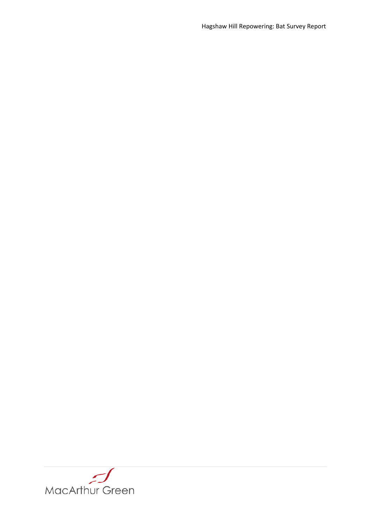Hagshaw Hill Repowering: Bat Survey Report

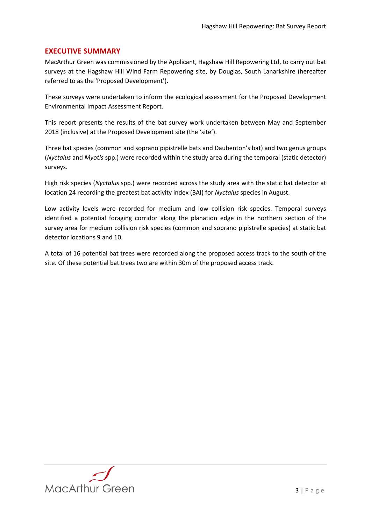### <span id="page-4-0"></span>**EXECUTIVE SUMMARY**

MacArthur Green was commissioned by the Applicant, Hagshaw Hill Repowering Ltd, to carry out bat surveys at the Hagshaw Hill Wind Farm Repowering site, by Douglas, South Lanarkshire (hereafter referred to as the 'Proposed Development').

These surveys were undertaken to inform the ecological assessment for the Proposed Development Environmental Impact Assessment Report.

This report presents the results of the bat survey work undertaken between May and September 2018 (inclusive) at the Proposed Development site (the 'site').

Three bat species (common and soprano pipistrelle bats and Daubenton's bat) and two genus groups (*Nyctalus* and *Myotis* spp.) were recorded within the study area during the temporal (static detector) surveys.

High risk species (*Nyctalus* spp.) were recorded across the study area with the static bat detector at location 24 recording the greatest bat activity index (BAI) for *Nyctalus* species in August.

Low activity levels were recorded for medium and low collision risk species. Temporal surveys identified a potential foraging corridor along the planation edge in the northern section of the survey area for medium collision risk species (common and soprano pipistrelle species) at static bat detector locations 9 and 10.

A total of 16 potential bat trees were recorded along the proposed access track to the south of the site. Of these potential bat trees two are within 30m of the proposed access track.

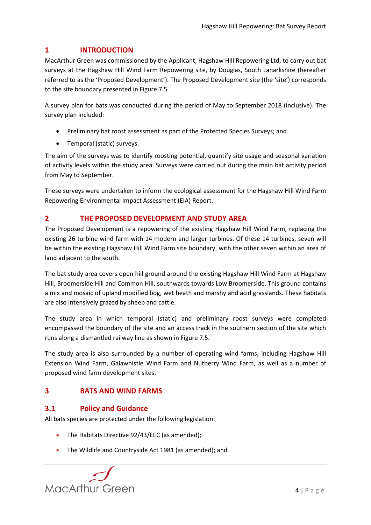## <span id="page-5-0"></span>**1 INTRODUCTION**

MacArthur Green was commissioned by the Applicant, Hagshaw Hill Repowering Ltd, to carry out bat surveys at the Hagshaw Hill Wind Farm Repowering site, by Douglas, South Lanarkshire (hereafter referred to as the 'Proposed Development'). The Proposed Development site (the 'site') corresponds to the site boundary presented in Figure 7.5.

A survey plan for bats was conducted during the period of May to September 2018 (inclusive). The survey plan included:

- Preliminary bat roost assessment as part of the Protected Species Surveys; and
- Temporal (static) surveys.

The aim of the surveys was to identify roosting potential, quantify site usage and seasonal variation of activity levels within the study area. Surveys were carried out during the main bat activity period from May to September.

These surveys were undertaken to inform the ecological assessment for the Hagshaw Hill Wind Farm Repowering Environmental Impact Assessment (EIA) Report.

## <span id="page-5-1"></span>**2 THE PROPOSED DEVELOPMENT AND STUDY AREA**

The Proposed Development is a repowering of the existing Hagshaw Hill Wind Farm, replacing the existing 26 turbine wind farm with 14 modern and larger turbines. Of these 14 turbines, seven will be within the existing Hagshaw Hill Wind Farm site boundary, with the other seven within an area of land adjacent to the south.

The bat study area covers open hill ground around the existing Hagshaw Hill Wind Farm at Hagshaw Hill, Broomerside Hill and Common Hill, southwards towards Low Broomerside. This ground contains a mix and mosaic of upland modified bog, wet heath and marshy and acid grasslands. These habitats are also intensively grazed by sheep and cattle.

The study area in which temporal (static) and preliminary roost surveys were completed encompassed the boundary of the site and an access track in the southern section of the site which runs along a dismantled railway line as shown in Figure 7.5.

The study area is also surrounded by a number of operating wind farms, including Hagshaw Hill Extension Wind Farm, Galawhistle Wind Farm and Nutberry Wind Farm, as well as a number of proposed wind farm development sites.

## <span id="page-5-2"></span>**3 BATS AND WIND FARMS**

## <span id="page-5-3"></span>**3.1 Policy and Guidance**

All bats species are protected under the following legislation:

- The Habitats Directive 92/43/EEC (as amended);
- The Wildlife and Countryside Act 1981 (as amended); and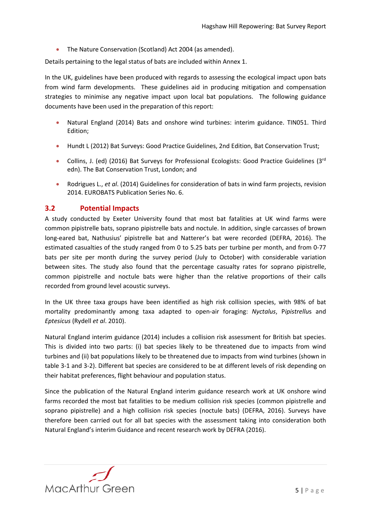• The Nature Conservation (Scotland) Act 2004 (as amended).

Details pertaining to the legal status of bats are included within Annex 1.

In the UK, guidelines have been produced with regards to assessing the ecological impact upon bats from wind farm developments. These guidelines aid in producing mitigation and compensation strategies to minimise any negative impact upon local bat populations. The following guidance documents have been used in the preparation of this report:

- Natural England (2014) Bats and onshore wind turbines: interim guidance. TIN051. Third Edition;
- Hundt L (2012) Bat Surveys: Good Practice Guidelines, 2nd Edition, Bat Conservation Trust;
- Collins, J. (ed) (2016) Bat Surveys for Professional Ecologists: Good Practice Guidelines (3rd edn). The Bat Conservation Trust, London; and
- Rodrigues L., *et al*. (2014) Guidelines for consideration of bats in wind farm projects, revision 2014. EUROBATS Publication Series No. 6.

### <span id="page-6-0"></span>**3.2 Potential Impacts**

A study conducted by Exeter University found that most bat fatalities at UK wind farms were common pipistrelle bats, soprano pipistrelle bats and noctule. In addition, single carcasses of brown long-eared bat, Nathusius' pipistrelle bat and Natterer's bat were recorded (DEFRA, 2016). The estimated casualties of the study ranged from 0 to 5.25 bats per turbine per month, and from 0-77 bats per site per month during the survey period (July to October) with considerable variation between sites. The study also found that the percentage casualty rates for soprano pipistrelle, common pipistrelle and noctule bats were higher than the relative proportions of their calls recorded from ground level acoustic surveys.

In the UK three taxa groups have been identified as high risk collision species, with 98% of bat mortality predominantly among taxa adapted to open-air foraging: *Nyctalus*, P*ipistrellu*s and *Eptesicus* (Rydell *et al*. 2010).

Natural England interim guidance (2014) includes a collision risk assessment for British bat species. This is divided into two parts: (i) bat species likely to be threatened due to impacts from wind turbines and (ii) bat populations likely to be threatened due to impacts from wind turbines (shown in table 3-1 and 3-2). Different bat species are considered to be at different levels of risk depending on their habitat preferences, flight behaviour and population status.

Since the publication of the Natural England interim guidance research work at UK onshore wind farms recorded the most bat fatalities to be medium collision risk species (common pipistrelle and soprano pipistrelle) and a high collision risk species (noctule bats) (DEFRA, 2016). Surveys have therefore been carried out for all bat species with the assessment taking into consideration both Natural England's interim Guidance and recent research work by DEFRA (2016).

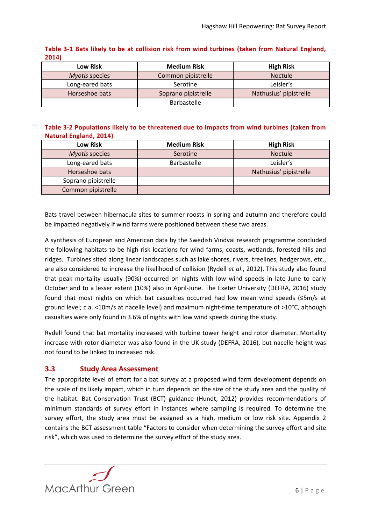| <b>Low Risk</b>       | <b>Medium Risk</b>  | <b>High Risk</b>       |
|-----------------------|---------------------|------------------------|
| <b>Myotis species</b> | Common pipistrelle  | <b>Noctule</b>         |
| Long-eared bats       | Serotine            | Leisler's              |
| Horseshoe bats        | Soprano pipistrelle | Nathusius' pipistrelle |
|                       | Barbastelle         |                        |

### **Table 3-1 Bats likely to be at collision risk from wind turbines (taken from Natural England, 2014)**

### **Table 3-2 Populations likely to be threatened due to impacts from wind turbines (taken from Natural England, 2014)**

| <b>Low Risk</b>       | <b>Medium Risk</b> | <b>High Risk</b>       |
|-----------------------|--------------------|------------------------|
| <b>Myotis species</b> | Serotine           | <b>Noctule</b>         |
| Long-eared bats       | Barbastelle        | Leisler's              |
| Horseshoe bats        |                    | Nathusius' pipistrelle |
| Soprano pipistrelle   |                    |                        |
| Common pipistrelle    |                    |                        |

Bats travel between hibernacula sites to summer roosts in spring and autumn and therefore could be impacted negatively if wind farms were positioned between these two areas.

A synthesis of European and American data by the Swedish Vindval research programme concluded the following habitats to be high risk locations for wind farms; coasts, wetlands, forested hills and ridges. Turbines sited along linear landscapes such as lake shores, rivers, treelines, hedgerows, etc., are also considered to increase the likelihood of collision (Rydell *et al*., 2012). This study also found that peak mortality usually (90%) occurred on nights with low wind speeds in late June to early October and to a lesser extent (10%) also in April-June. The Exeter University (DEFRA, 2016) study found that most nights on which bat casualties occurred had low mean wind speeds (≤5m/s at ground level; c.a. <10m/s at nacelle level) and maximum night-time temperature of >10°C, although casualties were only found in 3.6% of nights with low wind speeds during the study.

Rydell found that bat mortality increased with turbine tower height and rotor diameter. Mortality increase with rotor diameter was also found in the UK study (DEFRA, 2016), but nacelle height was not found to be linked to increased risk.

# <span id="page-7-0"></span>**3.3 Study Area Assessment**

The appropriate level of effort for a bat survey at a proposed wind farm development depends on the scale of its likely impact, which in turn depends on the size of the study area and the quality of the habitat. Bat Conservation Trust (BCT) guidance (Hundt, 2012) provides recommendations of minimum standards of survey effort in instances where sampling is required. To determine the survey effort, the study area must be assigned as a high, medium or low risk site. Appendix 2 contains the BCT assessment table "Factors to consider when determining the survey effort and site risk", which was used to determine the survey effort of the study area.

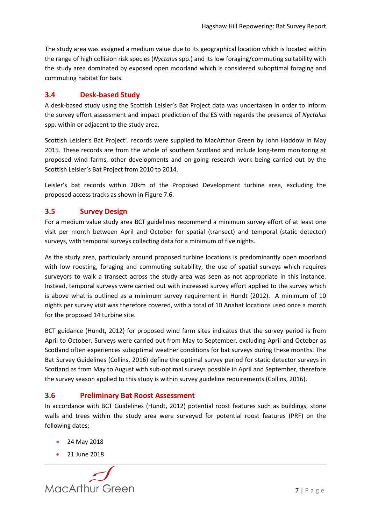The study area was assigned a medium value due to its geographical location which is located within the range of high collision risk species (*Nyctalus* spp.) and its low foraging/commuting suitability with the study area dominated by exposed open moorland which is considered suboptimal foraging and commuting habitat for bats.

## <span id="page-8-0"></span>**3.4 Desk-based Study**

A desk-based study using the Scottish Leisler's Bat Project data was undertaken in order to inform the survey effort assessment and impact prediction of the ES with regards the presence of *Nyctalus* spp. within or adjacent to the study area.

Scottish Leisler's Bat Project'. records were supplied to MacArthur Green by John Haddow in May 2015. These records are from the whole of southern Scotland and include long-term monitoring at proposed wind farms, other developments and on-going research work being carried out by the Scottish Leisler's Bat Project from 2010 to 2014.

Leisler's bat records within 20km of the Proposed Development turbine area, excluding the proposed access tracks as shown in Figure 7.6.

## <span id="page-8-1"></span>**3.5 Survey Design**

For a medium value study area BCT guidelines recommend a minimum survey effort of at least one visit per month between April and October for spatial (transect) and temporal (static detector) surveys, with temporal surveys collecting data for a minimum of five nights.

As the study area, particularly around proposed turbine locations is predominantly open moorland with low roosting, foraging and commuting suitability, the use of spatial surveys which requires surveyors to walk a transect across the study area was seen as not appropriate in this instance. Instead, temporal surveys were carried out with increased survey effort applied to the survey which is above what is outlined as a minimum survey requirement in Hundt (2012). A minimum of 10 nights per survey visit was therefore covered, with a total of 10 Anabat locations used once a month for the proposed 14 turbine site.

BCT guidance (Hundt, 2012) for proposed wind farm sites indicates that the survey period is from April to October. Surveys were carried out from May to September, excluding April and October as Scotland often experiences suboptimal weather conditions for bat surveys during these months. The Bat Survey Guidelines (Collins, 2016) define the optimal survey period for static detector surveys in Scotland as from May to August with sub-optimal surveys possible in April and September, therefore the survey season applied to this study is within survey guideline requirements (Collins, 2016).

## <span id="page-8-2"></span>**3.6 Preliminary Bat Roost Assessment**

In accordance with BCT Guidelines (Hundt, 2012) potential roost features such as buildings, stone walls and trees within the study area were surveyed for potential roost features (PRF) on the following dates;

- 24 May 2018
- 21 June 2018

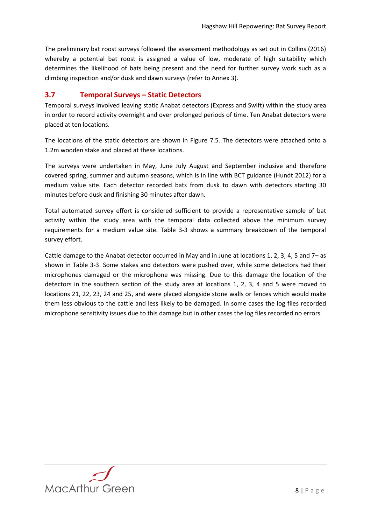The preliminary bat roost surveys followed the assessment methodology as set out in Collins (2016) whereby a potential bat roost is assigned a value of low, moderate of high suitability which determines the likelihood of bats being present and the need for further survey work such as a climbing inspection and/or dusk and dawn surveys (refer to Annex 3).

## <span id="page-9-0"></span>**3.7 Temporal Surveys – Static Detectors**

Temporal surveys involved leaving static Anabat detectors (Express and Swift) within the study area in order to record activity overnight and over prolonged periods of time. Ten Anabat detectors were placed at ten locations.

The locations of the static detectors are shown in Figure 7.5. The detectors were attached onto a 1.2m wooden stake and placed at these locations.

The surveys were undertaken in May, June July August and September inclusive and therefore covered spring, summer and autumn seasons, which is in line with BCT guidance (Hundt 2012) for a medium value site. Each detector recorded bats from dusk to dawn with detectors starting 30 minutes before dusk and finishing 30 minutes after dawn.

Total automated survey effort is considered sufficient to provide a representative sample of bat activity within the study area with the temporal data collected above the minimum survey requirements for a medium value site. Table 3-3 shows a summary breakdown of the temporal survey effort.

Cattle damage to the Anabat detector occurred in May and in June at locations 1, 2, 3, 4, 5 and 7– as shown in Table 3-3. Some stakes and detectors were pushed over, while some detectors had their microphones damaged or the microphone was missing. Due to this damage the location of the detectors in the southern section of the study area at locations 1, 2, 3, 4 and 5 were moved to locations 21, 22, 23, 24 and 25, and were placed alongside stone walls or fences which would make them less obvious to the cattle and less likely to be damaged. In some cases the log files recorded microphone sensitivity issues due to this damage but in other cases the log files recorded no errors.

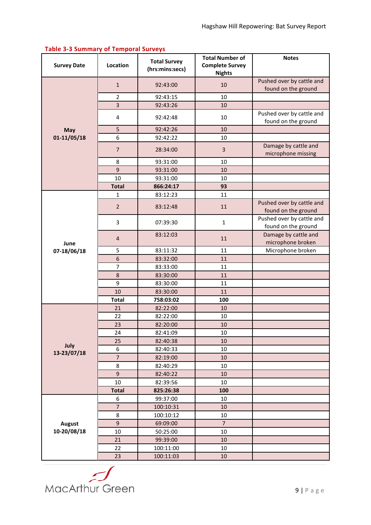| rabic 5 Sammary or remporar sarveys<br><b>Survey Date</b> | Location                | <b>Total Survey</b><br>(hrs:mins:secs) | <b>Total Number of</b><br><b>Complete Survey</b><br><b>Nights</b> | <b>Notes</b>                                     |
|-----------------------------------------------------------|-------------------------|----------------------------------------|-------------------------------------------------------------------|--------------------------------------------------|
|                                                           | $\mathbf{1}$            | 92:43:00                               | 10                                                                | Pushed over by cattle and<br>found on the ground |
|                                                           | $\overline{2}$          | 92:43:15                               | 10                                                                |                                                  |
|                                                           | $\overline{\mathbf{3}}$ | 92:43:26                               | 10                                                                |                                                  |
|                                                           | 4                       | 92:42:48                               | 10                                                                | Pushed over by cattle and<br>found on the ground |
| May                                                       | $\mathsf S$             | 92:42:26                               | 10                                                                |                                                  |
| 01-11/05/18                                               | 6                       | 92:42:22                               | 10                                                                |                                                  |
|                                                           | $\overline{7}$          | 28:34:00                               | $\overline{\mathbf{3}}$                                           | Damage by cattle and<br>microphone missing       |
|                                                           | 8                       | 93:31:00                               | 10                                                                |                                                  |
|                                                           | 9                       | 93:31:00                               | 10                                                                |                                                  |
|                                                           | 10                      | 93:31:00                               | $10\,$                                                            |                                                  |
|                                                           | <b>Total</b>            | 866:24:17                              | 93                                                                |                                                  |
|                                                           | $\mathbf{1}$            | 83:12:23                               | 11                                                                |                                                  |
|                                                           | $\overline{2}$          | 83:12:48                               | 11                                                                | Pushed over by cattle and<br>found on the ground |
|                                                           | 3                       | 07:39:30                               | $\mathbf{1}$                                                      | Pushed over by cattle and<br>found on the ground |
| June                                                      | $\overline{4}$          | 83:12:03<br>11                         |                                                                   | Damage by cattle and<br>microphone broken        |
| 07-18/06/18                                               | 5                       | 83:11:32                               | 11                                                                | Microphone broken                                |
|                                                           | $\sqrt{6}$              | 83:32:00                               | 11                                                                |                                                  |
|                                                           | $\overline{7}$          | 83:33:00                               | 11                                                                |                                                  |
|                                                           | $\bf 8$                 | 83:30:00                               | 11                                                                |                                                  |
|                                                           | $\boldsymbol{9}$        | 83:30:00                               | 11                                                                |                                                  |
|                                                           | 10                      | 83:30:00                               | 11                                                                |                                                  |
|                                                           | <b>Total</b>            | 758:03:02                              | 100                                                               |                                                  |
|                                                           | 21                      | 82:22:00                               | 10                                                                |                                                  |
|                                                           | 22                      | 82:22:00                               | $10\,$                                                            |                                                  |
|                                                           | 23                      | 82:20:00                               | 10                                                                |                                                  |
|                                                           | 24                      | 82:41:09                               | 10                                                                |                                                  |
| July                                                      | 25                      | 82:40:38                               | 10                                                                |                                                  |
| 13-23/07/18                                               | 6<br>$\overline{7}$     | 82:40:33<br>82:19:00                   | 10<br>10                                                          |                                                  |
|                                                           | 8                       | 82:40:29                               | 10                                                                |                                                  |
|                                                           | 9                       | 82:40:22                               | 10                                                                |                                                  |
|                                                           | 10                      | 82:39:56                               | 10                                                                |                                                  |
|                                                           | <b>Total</b>            | 825:26:38                              | 100                                                               |                                                  |
|                                                           | 6                       | 99:37:00                               | $10\,$                                                            |                                                  |
| <b>August</b><br>10-20/08/18                              | $\overline{7}$          | 100:10:31                              | 10                                                                |                                                  |
|                                                           | 8                       | 100:10:12                              | 10                                                                |                                                  |
|                                                           | $\overline{9}$          | 69:09:00                               | $\overline{7}$                                                    |                                                  |
|                                                           | 10                      | 50:25:00                               | 10                                                                |                                                  |
|                                                           | 21                      | 99:39:00                               | 10                                                                |                                                  |
|                                                           | 22                      | 100:11:00                              | 10                                                                |                                                  |
|                                                           | 23                      | 100:11:03                              | 10                                                                |                                                  |

## **Table 3-3 Summary of Temporal Surveys**

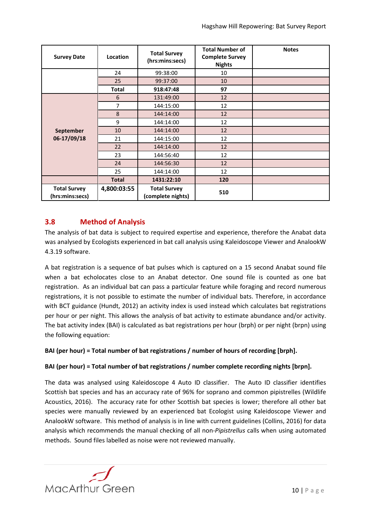| Location<br><b>Survey Date</b>         |              | <b>Total Survey</b><br>(hrs:mins:secs)   | <b>Total Number of</b><br><b>Complete Survey</b><br><b>Nights</b> | <b>Notes</b> |
|----------------------------------------|--------------|------------------------------------------|-------------------------------------------------------------------|--------------|
|                                        | 24           | 99:38:00                                 | 10                                                                |              |
|                                        | 25           | 99:37:00                                 | 10                                                                |              |
|                                        | Total        | 918:47:48                                | 97                                                                |              |
|                                        | 6            | 131:49:00                                | 12                                                                |              |
|                                        | 7            | 144:15:00                                | 12                                                                |              |
|                                        | 8            | 144:14:00                                | 12                                                                |              |
|                                        | 9            | 144:14:00                                | 12                                                                |              |
| September                              | 10           | 144:14:00                                | 12                                                                |              |
| 06-17/09/18                            | 21           | 144:15:00                                | 12                                                                |              |
|                                        | 22           | 144:14:00                                | 12                                                                |              |
|                                        | 23           | 144:56:40                                | 12                                                                |              |
|                                        | 24           | 144:56:30                                | 12                                                                |              |
|                                        | 25           | 144:14:00                                | 12                                                                |              |
|                                        | <b>Total</b> | 1431:22:10                               | 120                                                               |              |
| <b>Total Survey</b><br>(hrs:mins:secs) | 4,800:03:55  | <b>Total Survey</b><br>(complete nights) | 510                                                               |              |

# <span id="page-11-0"></span>**3.8 Method of Analysis**

The analysis of bat data is subject to required expertise and experience, therefore the Anabat data was analysed by Ecologists experienced in bat call analysis using Kaleidoscope Viewer and AnalookW 4.3.19 software.

A bat registration is a sequence of bat pulses which is captured on a 15 second Anabat sound file when a bat echolocates close to an Anabat detector. One sound file is counted as one bat registration. As an individual bat can pass a particular feature while foraging and record numerous registrations, it is not possible to estimate the number of individual bats. Therefore, in accordance with BCT guidance (Hundt, 2012) an activity index is used instead which calculates bat registrations per hour or per night. This allows the analysis of bat activity to estimate abundance and/or activity. The bat activity index (BAI) is calculated as bat registrations per hour (brph) or per night (brpn) using the following equation:

## **BAI (per hour) = Total number of bat registrations / number of hours of recording [brph].**

## **BAI (per hour) = Total number of bat registrations / number complete recording nights [brpn].**

The data was analysed using Kaleidoscope 4 Auto ID classifier. The Auto ID classifier identifies Scottish bat species and has an accuracy rate of 96% for soprano and common pipistrelles (Wildlife Acoustics, 2016). The accuracy rate for other Scottish bat species is lower; therefore all other bat species were manually reviewed by an experienced bat Ecologist using Kaleidoscope Viewer and AnalookW software. This method of analysis is in line with current guidelines (Collins, 2016) for data analysis which recommends the manual checking of all non-*Pipistrellus* calls when using automated methods. Sound files labelled as noise were not reviewed manually.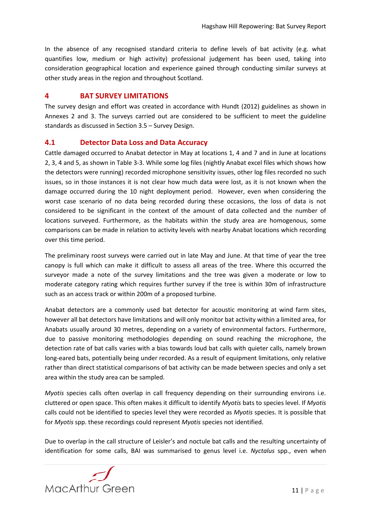In the absence of any recognised standard criteria to define levels of bat activity (e.g. what quantifies low, medium or high activity) professional judgement has been used, taking into consideration geographical location and experience gained through conducting similar surveys at other study areas in the region and throughout Scotland.

### <span id="page-12-0"></span>**4 BAT SURVEY LIMITATIONS**

The survey design and effort was created in accordance with Hundt (2012) guidelines as shown in Annexes 2 and 3. The surveys carried out are considered to be sufficient to meet the guideline standards as discussed in Section 3.5 – Survey Design.

### <span id="page-12-1"></span>**4.1 Detector Data Loss and Data Accuracy**

Cattle damaged occurred to Anabat detector in May at locations 1, 4 and 7 and in June at locations 2, 3, 4 and 5, as shown in Table 3-3. While some log files (nightly Anabat excel files which shows how the detectors were running) recorded microphone sensitivity issues, other log files recorded no such issues, so in those instances it is not clear how much data were lost, as it is not known when the damage occurred during the 10 night deployment period. However, even when considering the worst case scenario of no data being recorded during these occasions, the loss of data is not considered to be significant in the context of the amount of data collected and the number of locations surveyed. Furthermore, as the habitats within the study area are homogenous, some comparisons can be made in relation to activity levels with nearby Anabat locations which recording over this time period.

The preliminary roost surveys were carried out in late May and June. At that time of year the tree canopy is full which can make it difficult to assess all areas of the tree. Where this occurred the surveyor made a note of the survey limitations and the tree was given a moderate or low to moderate category rating which requires further survey if the tree is within 30m of infrastructure such as an access track or within 200m of a proposed turbine.

Anabat detectors are a commonly used bat detector for acoustic monitoring at wind farm sites, however all bat detectors have limitations and will only monitor bat activity within a limited area, for Anabats usually around 30 metres, depending on a variety of environmental factors. Furthermore, due to passive monitoring methodologies depending on sound reaching the microphone, the detection rate of bat calls varies with a bias towards loud bat calls with quieter calls, namely brown long-eared bats, potentially being under recorded. As a result of equipment limitations, only relative rather than direct statistical comparisons of bat activity can be made between species and only a set area within the study area can be sampled.

*Myotis* species calls often overlap in call frequency depending on their surrounding environs i.e. cluttered or open space. This often makes it difficult to identify *Myotis* bats to species level. If *Myotis* calls could not be identified to species level they were recorded as *Myotis* species. It is possible that for *Myotis* spp. these recordings could represent *Myotis* species not identified.

Due to overlap in the call structure of Leisler's and noctule bat calls and the resulting uncertainty of identification for some calls, BAI was summarised to genus level i.e. *Nyctalus* spp., even when

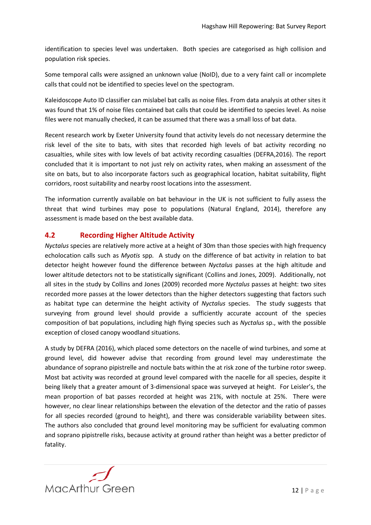identification to species level was undertaken. Both species are categorised as high collision and population risk species.

Some temporal calls were assigned an unknown value (NoID), due to a very faint call or incomplete calls that could not be identified to species level on the spectogram.

Kaleidoscope Auto ID classifier can mislabel bat calls as noise files. From data analysis at other sites it was found that 1% of noise files contained bat calls that could be identified to species level. As noise files were not manually checked, it can be assumed that there was a small loss of bat data.

Recent research work by Exeter University found that activity levels do not necessary determine the risk level of the site to bats, with sites that recorded high levels of bat activity recording no casualties, while sites with low levels of bat activity recording casualties (DEFRA,2016). The report concluded that it is important to not just rely on activity rates, when making an assessment of the site on bats, but to also incorporate factors such as geographical location, habitat suitability, flight corridors, roost suitability and nearby roost locations into the assessment.

The information currently available on bat behaviour in the UK is not sufficient to fully assess the threat that wind turbines may pose to populations (Natural England, 2014), therefore any assessment is made based on the best available data.

# <span id="page-13-0"></span>**4.2 Recording Higher Altitude Activity**

*Nyctalus* species are relatively more active at a height of 30m than those species with high frequency echolocation calls such as *Myotis* spp*.* A study on the difference of bat activity in relation to bat detector height however found the difference between *Nyctalus* passes at the high altitude and lower altitude detectors not to be statistically significant (Collins and Jones, 2009). Additionally, not all sites in the study by Collins and Jones (2009) recorded more *Nyctalus* passes at height: two sites recorded more passes at the lower detectors than the higher detectors suggesting that factors such as habitat type can determine the height activity of *Nyctalus* species. The study suggests that surveying from ground level should provide a sufficiently accurate account of the species composition of bat populations, including high flying species such as *Nyctalus* sp., with the possible exception of closed canopy woodland situations.

A study by DEFRA (2016), which placed some detectors on the nacelle of wind turbines, and some at ground level, did however advise that recording from ground level may underestimate the abundance of soprano pipistrelle and noctule bats within the at risk zone of the turbine rotor sweep. Most bat activity was recorded at ground level compared with the nacelle for all species, despite it being likely that a greater amount of 3-dimensional space was surveyed at height. For Leisler's, the mean proportion of bat passes recorded at height was 21%, with noctule at 25%. There were however, no clear linear relationships between the elevation of the detector and the ratio of passes for all species recorded (ground to height), and there was considerable variability between sites. The authors also concluded that ground level monitoring may be sufficient for evaluating common and soprano pipistrelle risks, because activity at ground rather than height was a better predictor of fatality.

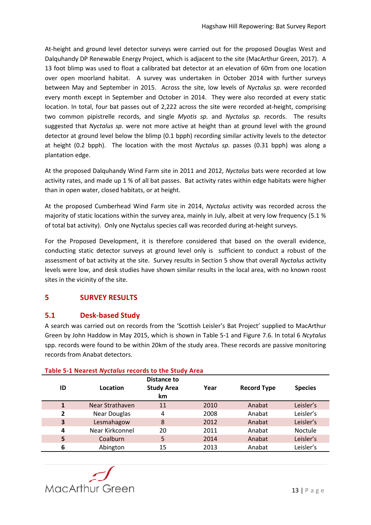At-height and ground level detector surveys were carried out for the proposed Douglas West and Dalquhandy DP Renewable Energy Project, which is adjacent to the site (MacArthur Green, 2017). A 13 foot blimp was used to float a calibrated bat detector at an elevation of 60m from one location over open moorland habitat. A survey was undertaken in October 2014 with further surveys between May and September in 2015. Across the site, low levels of *Nyctalus sp.* were recorded every month except in September and October in 2014. They were also recorded at every static location. In total, four bat passes out of 2,222 across the site were recorded at-height, comprising two common pipistrelle records, and single *Myotis sp.* and *Nyctalus sp.* records. The results suggested that *Nyctalus sp.* were not more active at height than at ground level with the ground detector at ground level below the blimp (0.1 bpph) recording similar activity levels to the detector at height (0.2 bpph). The location with the most *Nyctalus sp.* passes (0.31 bpph) was along a plantation edge.

At the proposed Dalquhandy Wind Farm site in 2011 and 2012, *Nyctalus* bats were recorded at low activity rates, and made up 1 % of all bat passes. Bat activity rates within edge habitats were higher than in open water, closed habitats, or at height.

At the proposed Cumberhead Wind Farm site in 2014, *Nyctalus* activity was recorded across the majority of static locations within the survey area, mainly in July, albeit at very low frequency (5.1 % of total bat activity). Only one Nyctalus species call was recorded during at-height surveys.

For the Proposed Development, it is therefore considered that based on the overall evidence, conducting static detector surveys at ground level only is sufficient to conduct a robust of the assessment of bat activity at the site. Survey results in Section 5 show that overall *Nyctalus* activity levels were low, and desk studies have shown similar results in the local area, with no known roost sites in the vicinity of the site.

# <span id="page-14-0"></span>**5 SURVEY RESULTS**

## <span id="page-14-1"></span>**5.1 Desk-based Study**

A search was carried out on records from the 'Scottish Leisler's Bat Project' supplied to MacArthur Green by John Haddow in May 2015, which is shown in Table 5-1 and Figure 7.6. In total 6 *Ncytalus* spp. records were found to be within 20km of the study area. These records are passive monitoring records from Anabat detectors.

| ID             | Location            | Distance to<br><b>Study Area</b><br>km | Year | <b>Record Type</b> | <b>Species</b> |
|----------------|---------------------|----------------------------------------|------|--------------------|----------------|
|                | Near Strathaven     | 11                                     | 2010 | Anabat             | Leisler's      |
| $\overline{2}$ | <b>Near Douglas</b> | 4                                      | 2008 | Anabat             | Leisler's      |
| 3              | Lesmahagow          | 8                                      | 2012 | Anabat             | Leisler's      |
| 4              | Near Kirkconnel     | 20                                     | 2011 | Anabat             | <b>Noctule</b> |
| 5              | Coalburn            | 5                                      | 2014 | Anabat             | Leisler's      |
| 6              | Abington            | 15                                     | 2013 | Anabat             | Leisler's      |

### **Table 5-1 Nearest** *Nyctalus* **records to the Study Area**

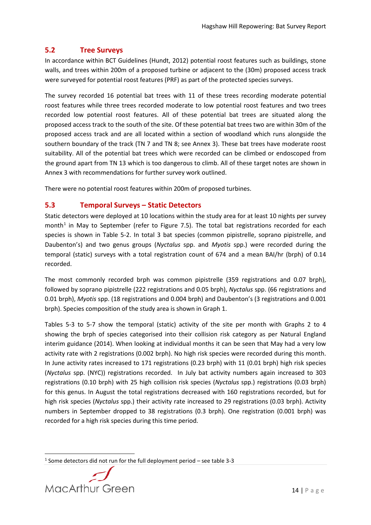## <span id="page-15-0"></span>**5.2 Tree Surveys**

In accordance within BCT Guidelines (Hundt, 2012) potential roost features such as buildings, stone walls, and trees within 200m of a proposed turbine or adjacent to the (30m) proposed access track were surveyed for potential roost features (PRF) as part of the protected species surveys.

The survey recorded 16 potential bat trees with 11 of these trees recording moderate potential roost features while three trees recorded moderate to low potential roost features and two trees recorded low potential roost features. All of these potential bat trees are situated along the proposed access track to the south of the site. Of these potential bat trees two are within 30m of the proposed access track and are all located within a section of woodland which runs alongside the southern boundary of the track (TN 7 and TN 8; see Annex 3). These bat trees have moderate roost suitability. All of the potential bat trees which were recorded can be climbed or endoscoped from the ground apart from TN 13 which is too dangerous to climb. All of these target notes are shown in Annex 3 with recommendations for further survey work outlined.

There were no potential roost features within 200m of proposed turbines.

## <span id="page-15-1"></span>**5.3 Temporal Surveys – Static Detectors**

Static detectors were deployed at 10 locations within the study area for at least 10 nights per survey month<sup>[1](#page-15-2)</sup> in May to September (refer to Figure 7.5). The total bat registrations recorded for each species is shown in Table 5-2. In total 3 bat species (common pipistrelle, soprano pipistrelle, and Daubenton's) and two genus groups (*Nyctalus* spp. and *Myotis* spp.) were recorded during the temporal (static) surveys with a total registration count of 674 and a mean BAI/hr (brph) of 0.14 recorded.

The most commonly recorded brph was common pipistrelle (359 registrations and 0.07 brph), followed by soprano pipistrelle (222 registrations and 0.05 brph), *Nyctalus* spp. (66 registrations and 0.01 brph), *Myotis* spp. (18 registrations and 0.004 brph) and Daubenton's (3 registrations and 0.001 brph). Species composition of the study area is shown in Graph 1.

Tables 5-3 to 5-7 show the temporal (static) activity of the site per month with Graphs 2 to 4 showing the brph of species categorised into their collision risk category as per Natural England interim guidance (2014). When looking at individual months it can be seen that May had a very low activity rate with 2 registrations (0.002 brph). No high risk species were recorded during this month. In June activity rates increased to 171 registrations (0.23 brph) with 11 (0.01 brph) high risk species (*Nyctalus* spp. (NYC)) registrations recorded. In July bat activity numbers again increased to 303 registrations (0.10 brph) with 25 high collision risk species (*Nyctalus* spp.) registrations (0.03 brph) for this genus. In August the total registrations decreased with 160 registrations recorded, but for high risk species (*Nyctalus* spp.) their activity rate increased to 29 registrations (0.03 brph). Activity numbers in September dropped to 38 registrations (0.3 brph). One registration (0.001 brph) was recorded for a high risk species during this time period.

<span id="page-15-2"></span><sup>&</sup>lt;sup>1</sup> Some detectors did not run for the full deployment period – see table 3-3

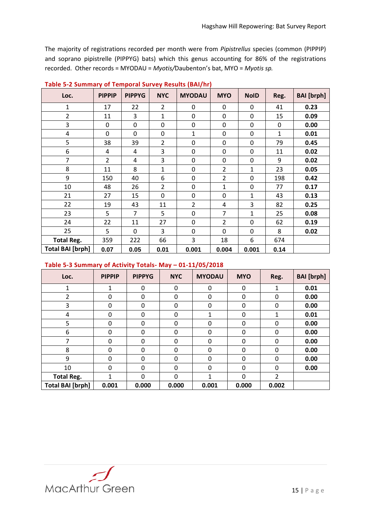The majority of registrations recorded per month were from *Pipistrellus* species (common (PIPPIP) and soprano pipistrelle (PIPPYG) bats) which this genus accounting for 86% of the registrations recorded. Other records = MYODAU = *Myotis/*Daubenton's bat, MYO = *Myotis sp.*

| Loc.                    | <b>PIPPIP</b>  | <b>PIPPYG</b>    | <b>NYC</b>     | <b>MYODAU</b> | <b>MYO</b>     | <b>NoID</b> | Reg.         | <b>BAI</b> [brph] |
|-------------------------|----------------|------------------|----------------|---------------|----------------|-------------|--------------|-------------------|
| $\mathbf{1}$            | 17             | 22               | $\overline{2}$ | 0             | 0              | 0           | 41           | 0.23              |
| $\overline{2}$          | 11             | 3                | 1              | 0             | 0              | $\mathbf 0$ | 15           | 0.09              |
| 3                       | 0              | $\boldsymbol{0}$ | $\mathbf 0$    | $\mathbf 0$   | $\mathbf 0$    | $\mathbf 0$ | $\mathbf 0$  | 0.00              |
| 4                       | $\Omega$       | $\mathbf 0$      | 0              | 1             | 0              | $\mathbf 0$ | $\mathbf{1}$ | 0.01              |
| 5                       | 38             | 39               | $\overline{2}$ | $\mathbf 0$   | $\mathbf 0$    | $\mathbf 0$ | 79           | 0.45              |
| 6                       | 4              | 4                | 3              | 0             | 0              | $\mathbf 0$ | 11           | 0.02              |
| $\overline{7}$          | $\overline{2}$ | 4                | 3              | $\mathbf 0$   | $\overline{0}$ | $\mathbf 0$ | 9            | 0.02              |
| 8                       | 11             | 8                | 1              | 0             | 2              | 1           | 23           | 0.05              |
| 9                       | 150            | 40               | 6              | 0             | 2              | $\mathbf 0$ | 198          | 0.42              |
| 10                      | 48             | 26               | $\overline{2}$ | 0             | 1              | 0           | 77           | 0.17              |
| 21                      | 27             | 15               | $\mathbf 0$    | 0             | $\mathbf 0$    | 1           | 43           | 0.13              |
| 22                      | 19             | 43               | 11             | 2             | 4              | 3           | 82           | 0.25              |
| 23                      | 5              | 7                | 5              | 0             | 7              | 1           | 25           | 0.08              |
| 24                      | 22             | 11               | 27             | 0             | 2              | 0           | 62           | 0.19              |
| 25                      | 5              | $\Omega$         | 3              | 0             | 0              | 0           | 8            | 0.02              |
| <b>Total Reg.</b>       | 359            | 222              | 66             | 3             | 18             | 6           | 674          |                   |
| <b>Total BAI [brph]</b> | 0.07           | 0.05             | 0.01           | 0.001         | 0.004          | 0.001       | 0.14         |                   |

#### **Table 5-2 Summary of Temporal Survey Results (BAI/hr)**

### **Table 5-3 Summary of Activity Totals- May – 01-11/05/2018**

| Loc.                    | <b>PIPPIP</b> | <b>PIPPYG</b> | <b>NYC</b>  | <b>MYODAU</b> | <b>MYO</b>  | Reg.           | <b>BAI</b> [brph] |
|-------------------------|---------------|---------------|-------------|---------------|-------------|----------------|-------------------|
| 1                       | 1             | 0             | $\mathbf 0$ | 0             | 0           | 1              | 0.01              |
| 2                       | 0             | 0             | 0           | 0             | 0           | 0              | 0.00              |
| 3                       | 0             | 0             | $\Omega$    | $\Omega$      | 0           | $\Omega$       | 0.00              |
| 4                       | 0             | 0             | 0           | 1             | 0           | 1              | 0.01              |
| 5                       | 0             | 0             | 0           | 0             | $\mathbf 0$ | $\Omega$       | 0.00              |
| 6                       | 0             | 0             | 0           | 0             | 0           | $\Omega$       | 0.00              |
| 7                       | 0             | $\Omega$      | $\Omega$    | 0             | 0           | $\Omega$       | 0.00              |
| 8                       | 0             | 0             | $\Omega$    | $\Omega$      | 0           | $\Omega$       | 0.00              |
| 9                       | 0             | 0             | 0           | 0             | 0           | 0              | 0.00              |
| 10                      | 0             | 0             | $\Omega$    | $\Omega$      | $\mathbf 0$ | $\Omega$       | 0.00              |
| <b>Total Reg.</b>       | 1             | $\Omega$      | $\Omega$    | 1             | $\Omega$    | $\overline{2}$ |                   |
| <b>Total BAI [brph]</b> | 0.001         | 0.000         | 0.000       | 0.001         | 0.000       | 0.002          |                   |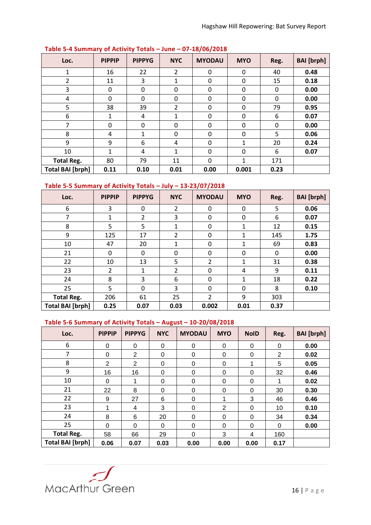| Loc.                    | <b>PIPPIP</b> | <b>PIPPYG</b> | <b>NYC</b>     | <b>MYODAU</b> | <b>MYO</b>       | Reg.     | <b>BAI</b> [brph] |
|-------------------------|---------------|---------------|----------------|---------------|------------------|----------|-------------------|
| 1                       | 16            | 22            | $\overline{2}$ | 0             | 0                | 40       | 0.48              |
| $\overline{2}$          | 11            | 3             | 1              | 0             | $\boldsymbol{0}$ | 15       | 0.18              |
| 3                       | 0             | $\mathbf 0$   | 0              | 0             | $\mathbf 0$      | 0        | 0.00              |
| $\overline{4}$          | $\Omega$      | 0             | $\mathbf{0}$   | 0             | 0                | $\Omega$ | 0.00              |
| 5                       | 38            | 39            | $\overline{2}$ | 0             | 0                | 79       | 0.95              |
| 6                       | 1             | 4             | 1              | 0             | 0                | 6        | 0.07              |
| $\overline{7}$          | $\Omega$      | $\mathbf 0$   | $\mathbf{0}$   | $\mathbf 0$   | $\mathbf 0$      | $\Omega$ | 0.00              |
| 8                       | 4             | 1             | $\mathbf{0}$   | 0             | 0                | 5        | 0.06              |
| 9                       | 9             | 6             | $\overline{4}$ | 0             | 1                | 20       | 0.24              |
| 10                      | $\mathbf{1}$  | 4             | $\mathbf{1}$   | 0             | $\mathbf 0$      | 6        | 0.07              |
| <b>Total Reg.</b>       | 80            | 79            | 11             | $\Omega$      | 1                | 171      |                   |
| <b>Total BAI [brph]</b> | 0.11          | 0.10          | 0.01           | 0.00          | 0.001            | 0.23     |                   |

## **Table 5-4 Summary of Activity Totals – June – 07-18/06/2018**

## **Table 5-5 Summary of Activity Totals – July – 13-23/07/2018**

| Loc.                    | <b>PIPPIP</b>  | <b>PIPPYG</b>  | <b>NYC</b>     | <b>MYODAU</b>  | <b>MYO</b> | Reg.     | <b>BAI</b> [brph] |
|-------------------------|----------------|----------------|----------------|----------------|------------|----------|-------------------|
| 6                       | 3              | 0              | $\overline{2}$ | 0              | 0          | 5        | 0.06              |
| 7                       | 1              | $\overline{2}$ | 3              | 0              | 0          | 6        | 0.07              |
| 8                       | 5              | 5              | 1              | $\Omega$       | 1          | 12       | 0.15              |
| 9                       | 125            | 17             | 2              | 0              | 1          | 145      | 1.75              |
| 10                      | 47             | 20             | 1              | 0              | 1          | 69       | 0.83              |
| 21                      | $\Omega$       | 0              | 0              | 0              | 0          | $\Omega$ | 0.00              |
| 22                      | 10             | 13             | 5              | $\overline{2}$ | 1          | 31       | 0.38              |
| 23                      | $\overline{2}$ | 1              | $\overline{2}$ | 0              | 4          | 9        | 0.11              |
| 24                      | 8              | 3              | 6              | 0              | 1          | 18       | 0.22              |
| 25                      | 5              | 0              | $\overline{3}$ | 0              | 0          | 8        | 0.10              |
| <b>Total Reg.</b>       | 206            | 61             | 25             | $\overline{2}$ | 9          | 303      |                   |
| <b>Total BAI [brph]</b> | 0.25           | 0.07           | 0.03           | 0.002          | 0.01       | 0.37     |                   |

## **Table 5-6 Summary of Activity Totals – August – 10-20/08/2018**

| Loc.                    | <b>PIPPIP</b> | <b>PIPPYG</b> | <b>NYC</b> | <b>MYODAU</b> | <b>MYO</b> | <b>NoID</b> | Reg.           | <b>BAI</b> [brph] |
|-------------------------|---------------|---------------|------------|---------------|------------|-------------|----------------|-------------------|
| 6                       | 0             | 0             | 0          | 0             | 0          | 0           | 0              | 0.00              |
| 7                       | 0             | 2             | 0          | 0             | 0          | 0           | $\overline{2}$ | 0.02              |
| 8                       | 2             | 2             | 0          | 0             | 0          |             | 5              | 0.05              |
| 9                       | 16            | 16            | $\Omega$   | 0             | $\Omega$   | 0           | 32             | 0.46              |
| 10                      | 0             | 1             | 0          | $\Omega$      | $\Omega$   | 0           | 1              | 0.02              |
| 21                      | 22            | 8             | 0          | 0             | $\Omega$   | 0           | 30             | 0.30              |
| 22                      | 9             | 27            | 6          | 0             | 1          | 3           | 46             | 0.46              |
| 23                      | 4             | 4             | 3          | $\Omega$      | 2          | 0           | 10             | 0.10              |
| 24                      | 8             | 6             | 20         | $\Omega$      | $\Omega$   | 0           | 34             | 0.34              |
| 25                      | $\Omega$      | 0             | $\Omega$   | $\Omega$      | $\Omega$   | 0           | 0              | 0.00              |
| <b>Total Reg.</b>       | 58            | 66            | 29         | $\Omega$      | 3          | 4           | 160            |                   |
| <b>Total BAI [brph]</b> | 0.06          | 0.07          | 0.03       | 0.00          | 0.00       | 0.00        | 0.17           |                   |

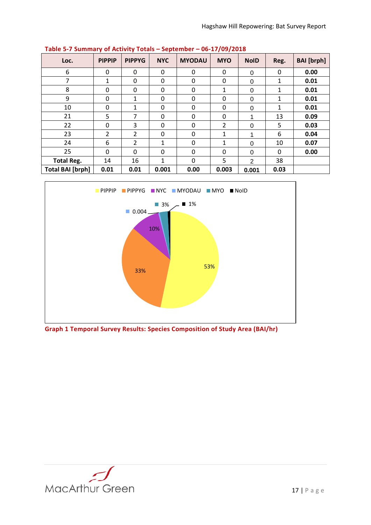| Loc.                    | <b>PIPPIP</b> | <b>PIPPYG</b>  | <b>NYC</b> | <b>MYODAU</b> | <b>MYO</b> | <b>NoID</b> | Reg.         | <b>BAI</b> [brph] |
|-------------------------|---------------|----------------|------------|---------------|------------|-------------|--------------|-------------------|
| 6                       | 0             | 0              | 0          | 0             | 0          | 0           | 0            | 0.00              |
| 7                       | 1             | 0              | 0          | 0             | 0          | 0           | 1            | 0.01              |
| 8                       | 0             | 0              | 0          | 0             | 1          | 0           | 1            | 0.01              |
| 9                       | 0             | 1              | 0          | 0             | 0          | $\Omega$    | $\mathbf{1}$ | 0.01              |
| 10                      | 0             | 1              | 0          | 0             | 0          | 0           | 1            | 0.01              |
| 21                      | 5             | 7              | 0          | 0             | 0          | 1           | 13           | 0.09              |
| 22                      | 0             | 3              | $\Omega$   | $\mathbf{0}$  | 2          | $\Omega$    | 5            | 0.03              |
| 23                      | 2             | 2              | 0          | 0             | 1          | 1           | 6            | 0.04              |
| 24                      | 6             | $\overline{2}$ | 1          | 0             | 1          | 0           | 10           | 0.07              |
| 25                      | 0             | $\Omega$       | $\Omega$   | $\mathbf{0}$  | $\Omega$   | $\Omega$    | $\mathbf{0}$ | 0.00              |
| <b>Total Reg.</b>       | 14            | 16             | 1          | $\mathbf{0}$  | 5          | 2           | 38           |                   |
| <b>Total BAI [brph]</b> | 0.01          | 0.01           | 0.001      | 0.00          | 0.003      | 0.001       | 0.03         |                   |

### **Table 5-7 Summary of Activity Totals – September – 06-17/09/2018**



**Graph 1 Temporal Survey Results: Species Composition of Study Area (BAI/hr)**

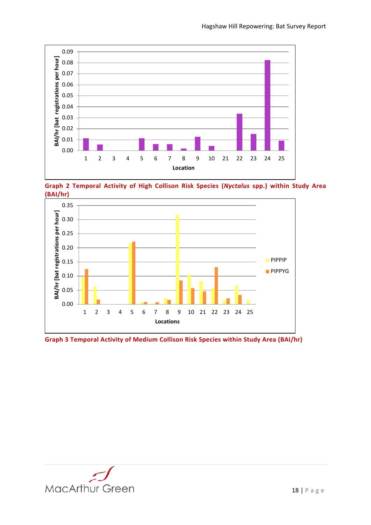







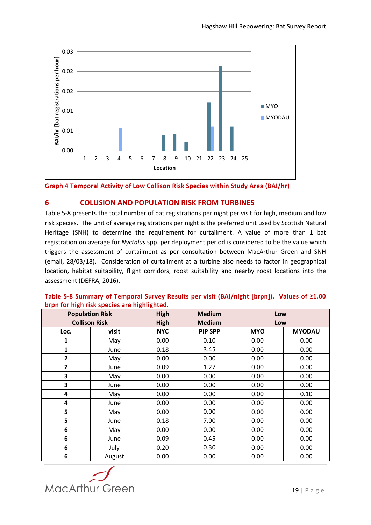

<span id="page-20-0"></span>

## **6 COLLISION AND POPULATION RISK FROM TURBINES**

Table 5-8 presents the total number of bat registrations per night per visit for high, medium and low risk species. The unit of average registrations per night is the preferred unit used by Scottish Natural Heritage (SNH) to determine the requirement for curtailment. A value of more than 1 bat registration on average for *Nyctalus* spp. per deployment period is considered to be the value which triggers the assessment of curtailment as per consultation between MacArthur Green and SNH (email, 28/03/18). Consideration of curtailment at a turbine also needs to factor in geographical location, habitat suitability, flight corridors, roost suitability and nearby roost locations into the assessment (DEFRA, 2016).

| <b>Population Risk</b>  |        | <b>High</b> | <b>Medium</b>  | Low        |               |
|-------------------------|--------|-------------|----------------|------------|---------------|
| <b>Collison Risk</b>    |        | <b>High</b> | <b>Medium</b>  | Low        |               |
| Loc.                    | visit  | <b>NYC</b>  | <b>PIP SPP</b> | <b>MYO</b> | <b>MYODAU</b> |
| 1                       | May    | 0.00        | 0.10           | 0.00       | 0.00          |
| 1                       | June   | 0.18        | 3.45           | 0.00       | 0.00          |
| $\overline{2}$          | May    | 0.00        | 0.00           | 0.00       | 0.00          |
| $\overline{\mathbf{c}}$ | June   | 0.09        | 1.27           | 0.00       | 0.00          |
| 3                       | May    | 0.00        | 0.00           | 0.00       | 0.00          |
| 3                       | June   | 0.00        | 0.00           | 0.00       | 0.00          |
| 4                       | May    | 0.00        | 0.00           | 0.00       | 0.10          |
| 4                       | June   | 0.00        | 0.00           | 0.00       | 0.00          |
| 5                       | May    | 0.00        | 0.00           | 0.00       | 0.00          |
| 5                       | June   | 0.18        | 7.00           | 0.00       | 0.00          |
| 6                       | May    | 0.00        | 0.00           | 0.00       | 0.00          |
| 6                       | June   | 0.09        | 0.45           | 0.00       | 0.00          |
| 6                       | July   | 0.20        | 0.30           | 0.00       | 0.00          |
| 6                       | August | 0.00        | 0.00           | 0.00       | 0.00          |

### **Table 5-8 Summary of Temporal Survey Results per visit (BAI/night [brpn]). Values of ≥1.00 brpn for high risk species are highlighted.**

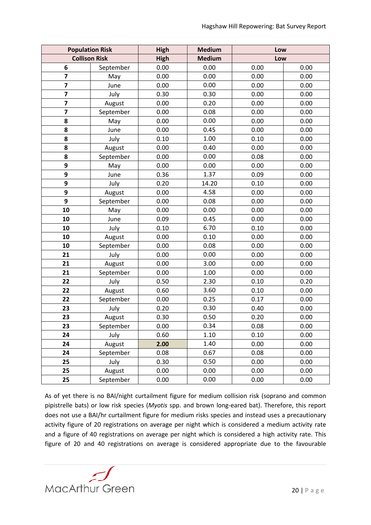| <b>Population Risk</b>  |           | High        | <b>Medium</b> | Low  |      |
|-------------------------|-----------|-------------|---------------|------|------|
| <b>Collison Risk</b>    |           | <b>High</b> | <b>Medium</b> | Low  |      |
| 6                       | September | 0.00        | 0.00          | 0.00 | 0.00 |
| $\overline{\mathbf{z}}$ | May       | 0.00        | 0.00          | 0.00 | 0.00 |
| $\overline{7}$          | June      | 0.00        | 0.00          | 0.00 | 0.00 |
| $\overline{\mathbf{z}}$ | July      | 0.30        | 0.30          | 0.00 | 0.00 |
| $\overline{\mathbf{z}}$ | August    | 0.00        | 0.20          | 0.00 | 0.00 |
| $\overline{\mathbf{z}}$ | September | 0.00        | 0.08          | 0.00 | 0.00 |
| 8                       | May       | 0.00        | 0.00          | 0.00 | 0.00 |
| 8                       | June      | 0.00        | 0.45          | 0.00 | 0.00 |
| 8                       | July      | 0.10        | 1.00          | 0.10 | 0.00 |
| 8                       | August    | 0.00        | 0.40          | 0.00 | 0.00 |
| 8                       | September | 0.00        | 0.00          | 0.08 | 0.00 |
| 9                       | May       | 0.00        | 0.00          | 0.00 | 0.00 |
| 9                       | June      | 0.36        | 1.37          | 0.09 | 0.00 |
| 9                       | July      | 0.20        | 14.20         | 0.10 | 0.00 |
| 9                       | August    | 0.00        | 4.58          | 0.00 | 0.00 |
| 9                       | September | 0.00        | 0.08          | 0.00 | 0.00 |
| 10                      | May       | 0.00        | 0.00          | 0.00 | 0.00 |
| 10                      | June      | 0.09        | 0.45          | 0.00 | 0.00 |
| 10                      | July      | 0.10        | 6.70          | 0.10 | 0.00 |
| 10                      | August    | 0.00        | 0.10          | 0.00 | 0.00 |
| 10                      | September | 0.00        | 0.08          | 0.00 | 0.00 |
| 21                      | July      | 0.00        | 0.00          | 0.00 | 0.00 |
| 21                      | August    | 0.00        | 3.00          | 0.00 | 0.00 |
| 21                      | September | 0.00        | 1.00          | 0.00 | 0.00 |
| 22                      | July      | 0.50        | 2.30          | 0.10 | 0.20 |
| 22                      | August    | 0.60        | 3.60          | 0.10 | 0.00 |
| 22                      | September | 0.00        | 0.25          | 0.17 | 0.00 |
| 23                      | July      | 0.20        | 0.30          | 0.40 | 0.00 |
| 23                      | August    | 0.30        | 0.50          | 0.20 | 0.00 |
| 23                      | September | 0.00        | 0.34          | 0.08 | 0.00 |
| 24                      | July      | 0.60        | 1.10          | 0.10 | 0.00 |
| 24                      | August    | 2.00        | 1.40          | 0.00 | 0.00 |
| 24                      | September | 0.08        | 0.67          | 0.08 | 0.00 |
| 25                      | July      | 0.30        | 0.50          | 0.00 | 0.00 |
| 25                      | August    | 0.00        | 0.00          | 0.00 | 0.00 |
| 25                      | September | 0.00        | 0.00          | 0.00 | 0.00 |

As of yet there is no BAI/night curtailment figure for medium collision risk (soprano and common pipistrelle bats) or low risk species (*Myotis* spp. and brown long-eared bat). Therefore, this report does not use a BAI/hr curtailment figure for medium risks species and instead uses a precautionary activity figure of 20 registrations on average per night which is considered a medium activity rate and a figure of 40 registrations on average per night which is considered a high activity rate. This figure of 20 and 40 registrations on average is considered appropriate due to the favourable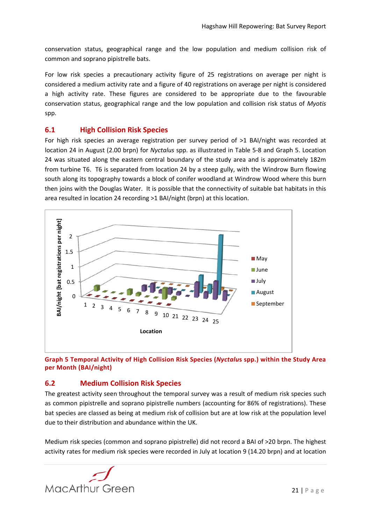conservation status, geographical range and the low population and medium collision risk of common and soprano pipistrelle bats.

For low risk species a precautionary activity figure of 25 registrations on average per night is considered a medium activity rate and a figure of 40 registrations on average per night is considered a high activity rate. These figures are considered to be appropriate due to the favourable conservation status, geographical range and the low population and collision risk status of *Myotis*  spp.

## <span id="page-22-0"></span>**6.1 High Collision Risk Species**

For high risk species an average registration per survey period of >1 BAI/night was recorded at location 24 in August (2.00 brpn) for *Nyctalus* spp. as illustrated in Table 5-8 and Graph 5. Location 24 was situated along the eastern central boundary of the study area and is approximately 182m from turbine T6. T6 is separated from location 24 by a steep gully, with the Windrow Burn flowing south along its topography towards a block of conifer woodland at Windrow Wood where this burn then joins with the Douglas Water. It is possible that the connectivity of suitable bat habitats in this area resulted in location 24 recording >1 BAI/night (brpn) at this location.



**Graph 5 Temporal Activity of High Collision Risk Species (***Nyctalu***s spp.) within the Study Area per Month (BAI/night)**

## <span id="page-22-1"></span>**6.2 Medium Collision Risk Species**

The greatest activity seen throughout the temporal survey was a result of medium risk species such as common pipistrelle and soprano pipistrelle numbers (accounting for 86% of registrations). These bat species are classed as being at medium risk of collision but are at low risk at the population level due to their distribution and abundance within the UK.

Medium risk species (common and soprano pipistrelle) did not record a BAI of >20 brpn. The highest activity rates for medium risk species were recorded in July at location 9 (14.20 brpn) and at location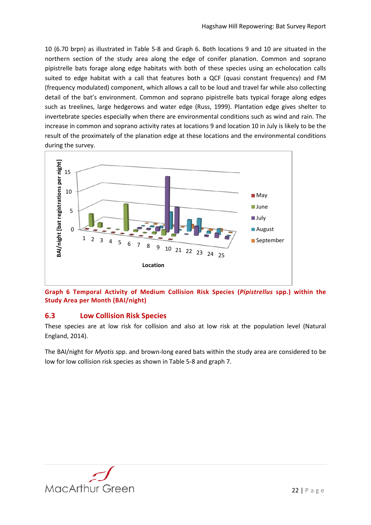10 (6.70 brpn) as illustrated in Table 5-8 and Graph 6. Both locations 9 and 10 are situated in the northern section of the study area along the edge of conifer planation. Common and soprano pipistrelle bats forage along edge habitats with both of these species using an echolocation calls suited to edge habitat with a call that features both a QCF (quasi constant frequency) and FM (frequency modulated) component, which allows a call to be loud and travel far while also collecting detail of the bat's environment. Common and soprano pipistrelle bats typical forage along edges such as treelines, large hedgerows and water edge (Russ, 1999). Plantation edge gives shelter to invertebrate species especially when there are environmental conditions such as wind and rain. The increase in common and soprano activity rates at locations 9 and location 10 in July is likely to be the result of the proximately of the planation edge at these locations and the environmental conditions during the survey.



**Graph 6 Temporal Activity of Medium Collision Risk Species (***Pipistrellus* **spp.) within the Study Area per Month (BAI/night)**

# <span id="page-23-0"></span>**6.3 Low Collision Risk Species**

These species are at low risk for collision and also at low risk at the population level (Natural England, 2014).

The BAI/night for *Myotis* spp. and brown-long eared bats within the study area are considered to be low for low collision risk species as shown in Table 5-8 and graph 7.

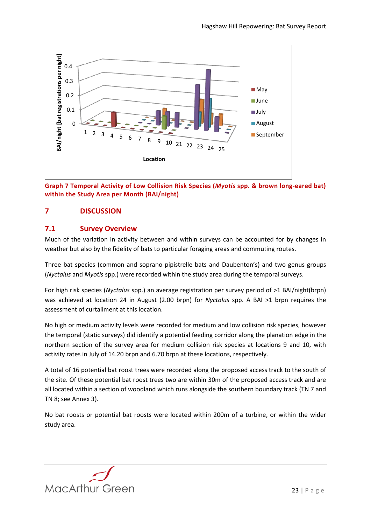

**Graph 7 Temporal Activity of Low Collision Risk Species (***Myotis* **spp. & brown long-eared bat) within the Study Area per Month (BAI/night)**

# <span id="page-24-0"></span>**7 DISCUSSION**

## <span id="page-24-1"></span>**7.1 Survey Overview**

Much of the variation in activity between and within surveys can be accounted for by changes in weather but also by the fidelity of bats to particular foraging areas and commuting routes.

Three bat species (common and soprano pipistrelle bats and Daubenton's) and two genus groups (*Nyctalus* and *Myotis* spp.) were recorded within the study area during the temporal surveys.

For high risk species (*Nyctalus* spp.) an average registration per survey period of >1 BAI/night(brpn) was achieved at location 24 in August (2.00 brpn) for *Nyctalus* spp. A BAI >1 brpn requires the assessment of curtailment at this location.

No high or medium activity levels were recorded for medium and low collision risk species, however the temporal (static surveys) did identify a potential feeding corridor along the planation edge in the northern section of the survey area for medium collision risk species at locations 9 and 10, with activity rates in July of 14.20 brpn and 6.70 brpn at these locations, respectively.

A total of 16 potential bat roost trees were recorded along the proposed access track to the south of the site. Of these potential bat roost trees two are within 30m of the proposed access track and are all located within a section of woodland which runs alongside the southern boundary track (TN 7 and TN 8; see Annex 3).

No bat roosts or potential bat roosts were located within 200m of a turbine, or within the wider study area.

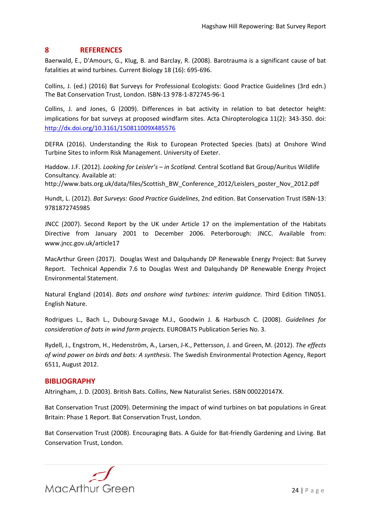#### <span id="page-25-0"></span>**8 REFERENCES**

Baerwald, E., D'Amours, G., Klug, B. and Barclay, R. (2008). Barotrauma is a significant cause of bat fatalities at wind turbines. Current Biology 18 (16): 695-696.

Collins, J. (ed.) (2016) Bat Surveys for Professional Ecologists: Good Practice Guidelines (3rd edn.) The Bat Conservation Trust, London. ISBN-13 978-1-872745-96-1

Collins, J. and Jones, G (2009). Differences in bat activity in relation to bat detector height: implications for bat surveys at proposed windfarm sites. Acta Chiropterologica 11(2): 343-350. doi: <http://dx.doi.org/10.3161/150811009X485576>

DEFRA (2016). Understanding the Risk to European Protected Species (bats) at Onshore Wind Turbine Sites to inform Risk Management. University of Exeter.

Haddow. J.F. (2012). *Looking for Leisler's – in Scotland.* Central Scotland Bat Group/Auritus Wildlife Consultancy. Available at:

http://www.bats.org.uk/data/files/Scottish\_BW\_Conference\_2012/Leislers\_poster\_Nov\_2012.pdf

Hundt, L. (2012). *Bat Surveys: Good Practice Guidelines*, 2nd edition. Bat Conservation Trust ISBN-13: 9781872745985

JNCC (2007). Second Report by the UK under Article 17 on the implementation of the Habitats Directive from January 2001 to December 2006. Peterborough: JNCC. Available from: www.jncc.gov.uk/article17

MacArthur Green (2017). Douglas West and Dalquhandy DP Renewable Energy Project: Bat Survey Report. Technical Appendix 7.6 to Douglas West and Dalquhandy DP Renewable Energy Project Environmental Statement.

Natural England (2014). *Bats and onshore wind turbines: interim guidance.* Third Edition TIN051. English Nature.

Rodrigues L., Bach L., Dubourg-Savage M.J., Goodwin J. & Harbusch C. (2008). *Guidelines for consideration of bats in wind farm projects.* EUROBATS Publication Series No. 3.

Rydell, J., Engstrom, H., Hedenström, A., Larsen, J-K., Pettersson, J. and Green, M. (2012). *The effects of wind power on birds and bats: A synthesis*. The Swedish Environmental Protection Agency, Report 6511, August 2012.

#### <span id="page-25-1"></span>**BIBLIOGRAPHY**

Altringham, J. D. (2003). British Bats. Collins, New Naturalist Series. ISBN 000220147X.

Bat Conservation Trust (2009). Determining the impact of wind turbines on bat populations in Great Britain: Phase 1 Report. Bat Conservation Trust, London.

Bat Conservation Trust (2008). Encouraging Bats. A Guide for Bat-friendly Gardening and Living. Bat Conservation Trust, London.

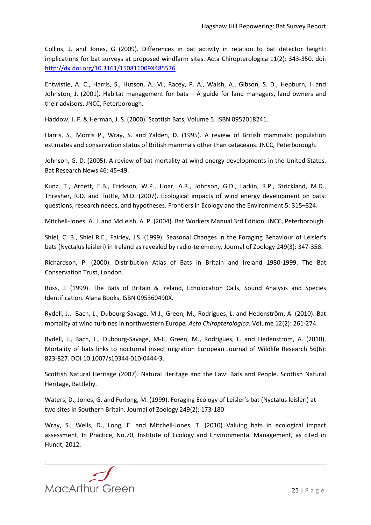Collins, J. and Jones, G (2009). Differences in bat activity in relation to bat detector height: implications for bat surveys at proposed windfarm sites. Acta Chiropterologica 11(2): 343-350. doi: <http://dx.doi.org/10.3161/150811009X485576>

Entwistle, A. C., Harris, S., Hutson, A. M., Racey, P. A., Walsh, A., Gibson, S. D., Hepburn, I. and Johnston, J. (2001). Habitat management for bats  $- A$  guide for land managers, land owners and their advisors. JNCC, Peterborough.

Haddow, J. F. & Herman, J. S. (2000). Scottish Bats, Volume 5. ISBN 0952018241.

Harris, S., Morris P., Wray, S. and Yalden, D. (1995). A review of British mammals: population estimates and conservation status of British mammals other than cetaceans. JNCC, Peterborough.

Johnson, G. D. (2005). A review of bat mortality at wind-energy developments in the United States. Bat Research News 46: 45–49.

Kunz, T., Arnett, E.B., Erickson, W.P., Hoar, A.R., Johnson, G.D., Larkin, R.P., Strickland, M.D., Thresher, R.D. and Tuttle, M.D. (2007). Ecological impacts of wind energy development on bats: questions, research needs, and hypotheses. Frontiers in Ecology and the Environment 5: 315–324.

Mitchell-Jones, A. J. and McLeish, A. P. (2004). Bat Workers Manual 3rd Edition. JNCC, Peterborough

Shiel, C. B., Shiel R.E., Fairley, J.S. (1999). Seasonal Changes in the Foraging Behaviour of Leisler's bats (Nyctalus leisleri) in Ireland as revealed by radio-telemetry. Journal of Zoology 249(3): 347-358.

Richardson, P. (2000). Distribution Atlas of Bats in Britain and Ireland 1980-1999. The Bat Conservation Trust, London.

Russ, J. (1999). The Bats of Britain & Ireland, Echolocation Calls, Sound Analysis and Species Identification. Alana Books, ISBN 095360490X.

Rydell, J., Bach, L., Dubourg-Savage, M-J., Green, M., Rodrigues, L. and Hedenström, A. (2010). Bat mortality at wind turbines in northwestern Europ*e, Acta Chiropterologica.* Volume 12(2): 261-274.

Rydell, J., Bach, L., Dubourg-Savage, M-J., Green, M., Rodrigues, L. and Hedenström, A. (2010). Mortality of bats links to nocturnal insect migration European Journal of Wildlife Research 56(6): 823-827. DOI 10.1007/s10344-010-0444-3.

Scottish Natural Heritage (2007). Natural Heritage and the Law: Bats and People. Scottish Natural Heritage, Battleby.

Waters, D., Jones, G. and Furlong, M. (1999). Foraging Ecology of Leisler's bat (Nyctalus leisleri) at two sites in Southern Britain. Journal of Zoology 249(2): 173-180

Wray, S., Wells, D., Long, E. and Mitchell-Jones, T. (2010) Valuing bats in ecological impact assessment, In Practice, No.70, Institute of Ecology and Environmental Management, as cited in Hundt, 2012.



.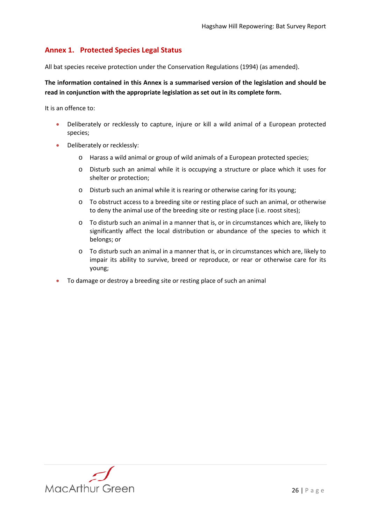# <span id="page-27-0"></span>**Annex 1. Protected Species Legal Status**

All bat species receive protection under the Conservation Regulations (1994) (as amended).

## **The information contained in this Annex is a summarised version of the legislation and should be read in conjunction with the appropriate legislation as set out in its complete form.**

It is an offence to:

- Deliberately or recklessly to capture, injure or kill a wild animal of a European protected species;
- Deliberately or recklessly:
	- o Harass a wild animal or group of wild animals of a European protected species;
	- o Disturb such an animal while it is occupying a structure or place which it uses for shelter or protection;
	- o Disturb such an animal while it is rearing or otherwise caring for its young;
	- o To obstruct access to a breeding site or resting place of such an animal, or otherwise to deny the animal use of the breeding site or resting place (i.e. roost sites);
	- o To disturb such an animal in a manner that is, or in circumstances which are, likely to significantly affect the local distribution or abundance of the species to which it belongs; or
	- o To disturb such an animal in a manner that is, or in circumstances which are, likely to impair its ability to survive, breed or reproduce, or rear or otherwise care for its young;
- To damage or destroy a breeding site or resting place of such an animal

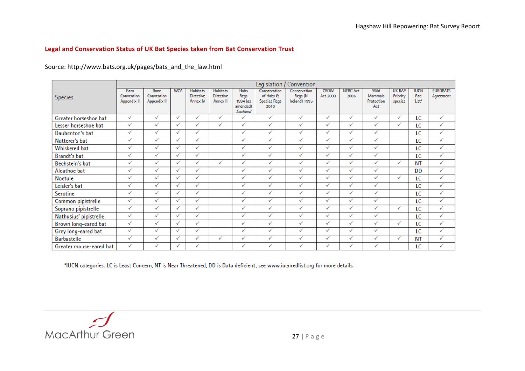### **Legal and Conservation Status of UK Bat Species taken from Bat Conservation Trust**

## Source: http://www.bats.org.uk/pages/bats\_and\_the\_law.html

|                         | Legislation / Convention                 |                                   |              |                                                           |                                                 |                                                  |                                                          |                                          |                                |                         |                                             |                                      |                             |                              |
|-------------------------|------------------------------------------|-----------------------------------|--------------|-----------------------------------------------------------|-------------------------------------------------|--------------------------------------------------|----------------------------------------------------------|------------------------------------------|--------------------------------|-------------------------|---------------------------------------------|--------------------------------------|-----------------------------|------------------------------|
| <b>Species</b>          | <b>Bern</b><br>Convention<br>Appendix II | Bonn<br>Convention<br>Appendix II | <b>WCA</b>   | <b>Habitats</b><br><b>Directive</b><br>Annex <sub>N</sub> | <b>Habitats</b><br><b>Directive</b><br>Annex II | Habs<br>Regs<br>1994 (as<br>amcnded)<br>Scotland | Conservation<br>of Habs &<br><b>Species Regs</b><br>2010 | Conservation<br>Regs (N<br>Ircland) 1995 | <b>CROW</b><br><b>Act 2000</b> | <b>NERC Act</b><br>2006 | Wild<br><b>Mammals</b><br>Protection<br>Act | <b>UK BAP</b><br>Priority<br>species | <b>IUCN</b><br>Red<br>List* | <b>EUROBATS</b><br>Agreement |
| Greater horseshoe bat   | $\checkmark$                             | ✓                                 | ✓            | ✓                                                         | $\checkmark$                                    | ✓                                                | ✓                                                        | ✓                                        | ✓                              | ✓                       | ✓                                           | ✓                                    | LC                          | ✓                            |
| Lesser horseshoe bat    | $\checkmark$                             | ✓                                 | ✓            | ✓                                                         | $\checkmark$                                    | ✓                                                | ✓                                                        | ✓                                        | ✓                              | $\checkmark$            | ✓                                           | ✓                                    | LC                          | ✓                            |
| <b>Daubenton's bat</b>  | $\checkmark$                             | ✓                                 | ✓            | ✓                                                         |                                                 | ✓                                                | ✓                                                        | ✓                                        | ✓                              | ✓                       | $\checkmark$                                |                                      | LC                          | ✓                            |
| Natterer's bat          | ✓                                        | ✓                                 | ✓            | $\checkmark$                                              |                                                 | ✓                                                | ✓                                                        | ✓                                        | ✓                              | ✓                       | ✓                                           |                                      | LC                          | ✓                            |
| <b>Whiskered bat</b>    | ✓                                        | $\checkmark$                      | ✓            | ✓                                                         |                                                 | $\checkmark$                                     | ✓                                                        | ✓                                        | ✓                              | ✓                       | ✓                                           |                                      | LC                          | ✓                            |
| <b>Brandt's bat</b>     | $\checkmark$                             | ✓                                 | ✓            | ✓                                                         |                                                 | $\checkmark$                                     | ✓                                                        | ✓                                        | ✓                              | ✓                       | ✓                                           |                                      | LC                          | ✓                            |
| <b>Bechstein's bat</b>  | $\checkmark$                             | ✓                                 | ✓            | $\checkmark$                                              | $\checkmark$                                    | ✓                                                | ✓                                                        | ✓                                        | ✓                              | ✓                       | ✓                                           | ✓                                    | <b>NT</b>                   | ✓                            |
| Alcathoe bat            | $\checkmark$                             | $\checkmark$                      | ✓            | ✓                                                         |                                                 | ✓                                                | $\checkmark$                                             | ✓                                        | ✓                              | ✓                       | ✓                                           |                                      | <b>DD</b>                   | ✓                            |
| <b>Noctule</b>          | ✓                                        | ✓                                 | ✓            | ✓                                                         |                                                 | ✓                                                | ✓                                                        | ✓                                        | ✓                              | ✓                       | ✓                                           | ✓                                    | LC                          | ✓                            |
| Leisler's bat           | $\checkmark$                             | ✓                                 | ✓            | ✓                                                         |                                                 | $\checkmark$                                     | ✓                                                        | ✓                                        | ✓                              | ✓                       | ✓                                           |                                      | LC                          | ✓                            |
| Serotine                | $\checkmark$                             | ✓                                 | ✓            | $\checkmark$                                              |                                                 | $\checkmark$                                     | ✓                                                        | ✓                                        | ✓                              | ✓                       | ✓                                           |                                      | LC                          | ✓                            |
| Common pipistrelle      | $\checkmark$                             | ✓                                 | ✓            | ✓                                                         |                                                 | $\checkmark$                                     | ✓                                                        | ✓                                        | ✓                              | ✓                       | ✓                                           |                                      | LC                          | ✓                            |
| Soprano pipistrelle     | ✓                                        | ✓                                 | ✓            | ✓                                                         |                                                 | ✓                                                | ✓                                                        | ✓                                        | ✓                              | ✓                       | ✓                                           | ✓                                    | LC                          | ✓                            |
| Nathusius' pipistrelle  | $\checkmark$                             | ✓                                 | ✓            | ✓                                                         |                                                 | ✓                                                | $\checkmark$                                             | ✓                                        | ✓                              | ✓                       | ✓                                           |                                      | LC                          | ✓                            |
| Brown long-eared bat    | $\checkmark$                             | ✓                                 | ✓            | ✓                                                         |                                                 | $\checkmark$                                     | ✓                                                        | ✓                                        | ✓                              | ✓                       | ✓                                           | ✓                                    | LC                          | ✓                            |
| Grey long-eared bat     | ✓                                        | $\checkmark$                      | ✓            | ✓                                                         |                                                 | $\checkmark$                                     | $\checkmark$                                             | ✓                                        | ✓                              | ✓                       | ✓                                           |                                      | LC                          | ✓                            |
| <b>Barbastelle</b>      | ✓                                        | ✓                                 | ✓            | ✓                                                         | ✓                                               | $\checkmark$                                     | ✓                                                        | ✓                                        | ✓                              | ✓                       | ✓                                           | ✓                                    | <b>NT</b>                   | ✓                            |
| Greater mouse-eared bat | $\checkmark$                             | $\checkmark$                      | $\checkmark$ | ✓                                                         |                                                 | $\checkmark$                                     | $\checkmark$                                             | ✓                                        | ✓                              | $\checkmark$            | ✓                                           |                                      | LC                          | ✓                            |

\*IUCN categories: LC is Least Concern, NT is Near Threatened, DD is Data deficient; see www.iucnredlist.org for more details.

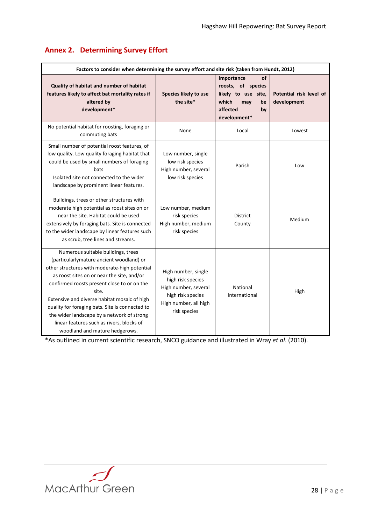# <span id="page-29-0"></span>**Annex 2. Determining Survey Effort**

| Factors to consider when determining the survey effort and site risk (taken from Hundt, 2012)                                                                                                                                                                                                                                                                                                                                                                         |                                                                                                                                |                                                                                                                       |                                        |  |  |  |  |  |  |
|-----------------------------------------------------------------------------------------------------------------------------------------------------------------------------------------------------------------------------------------------------------------------------------------------------------------------------------------------------------------------------------------------------------------------------------------------------------------------|--------------------------------------------------------------------------------------------------------------------------------|-----------------------------------------------------------------------------------------------------------------------|----------------------------------------|--|--|--|--|--|--|
| Quality of habitat and number of habitat<br>features likely to affect bat mortality rates if<br>altered by<br>development*                                                                                                                                                                                                                                                                                                                                            | Species likely to use<br>the site*                                                                                             | Importance<br>of<br>roosts, of species<br>likely to use site,<br>which<br>may<br>be<br>affected<br>by<br>development* | Potential risk level of<br>development |  |  |  |  |  |  |
| No potential habitat for roosting, foraging or<br>commuting bats                                                                                                                                                                                                                                                                                                                                                                                                      | None                                                                                                                           | Local                                                                                                                 | Lowest                                 |  |  |  |  |  |  |
| Small number of potential roost features, of<br>low quality. Low quality foraging habitat that<br>could be used by small numbers of foraging<br>bats<br>Isolated site not connected to the wider<br>landscape by prominent linear features.                                                                                                                                                                                                                           | Low number, single<br>low risk species<br>High number, several<br>low risk species                                             | Parish                                                                                                                | Low                                    |  |  |  |  |  |  |
| Buildings, trees or other structures with<br>moderate high potential as roost sites on or<br>near the site. Habitat could be used<br>extensively by foraging bats. Site is connected<br>to the wider landscape by linear features such<br>as scrub, tree lines and streams.                                                                                                                                                                                           | Low number, medium<br>risk species<br>High number, medium<br>risk species                                                      | <b>District</b><br>County                                                                                             | Medium                                 |  |  |  |  |  |  |
| Numerous suitable buildings, trees<br>(particularlymature ancient woodland) or<br>other structures with moderate-high potential<br>as roost sites on or near the site, and/or<br>confirmed roosts present close to or on the<br>site.<br>Extensive and diverse habitat mosaic of high<br>quality for foraging bats. Site is connected to<br>the wider landscape by a network of strong<br>linear features such as rivers, blocks of<br>woodland and mature hedgerows. | High number, single<br>high risk species<br>High number, several<br>high risk species<br>High number, all high<br>risk species | National<br>International                                                                                             | High                                   |  |  |  |  |  |  |

\*As outlined in current scientific research, SNCO guidance and illustrated in Wray *et al*. (2010).

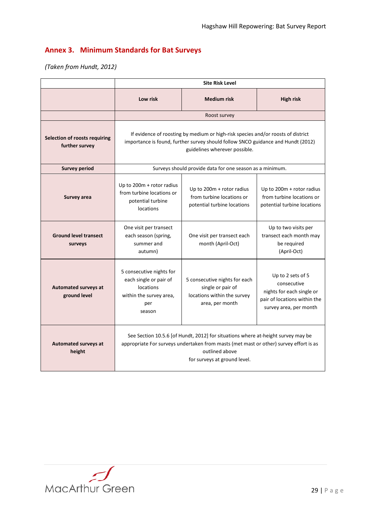# <span id="page-30-0"></span>**Annex 3. Minimum Standards for Bat Surveys**

*(Taken from Hundt, 2012)*

|                                                 | <b>Site Risk Level</b>                                                                                                                                                                                |                                                                                                                                                                                                                             |                                                                                                                         |  |  |  |  |
|-------------------------------------------------|-------------------------------------------------------------------------------------------------------------------------------------------------------------------------------------------------------|-----------------------------------------------------------------------------------------------------------------------------------------------------------------------------------------------------------------------------|-------------------------------------------------------------------------------------------------------------------------|--|--|--|--|
|                                                 | Low risk                                                                                                                                                                                              | <b>Medium risk</b>                                                                                                                                                                                                          | <b>High risk</b>                                                                                                        |  |  |  |  |
|                                                 |                                                                                                                                                                                                       | Roost survey                                                                                                                                                                                                                |                                                                                                                         |  |  |  |  |
| Selection of roosts requiring<br>further survey | If evidence of roosting by medium or high-risk species and/or roosts of district<br>importance is found, further survey should follow SNCO guidance and Hundt (2012)<br>guidelines wherever possible. |                                                                                                                                                                                                                             |                                                                                                                         |  |  |  |  |
| <b>Survey period</b>                            |                                                                                                                                                                                                       | Surveys should provide data for one season as a minimum.                                                                                                                                                                    |                                                                                                                         |  |  |  |  |
| Survey area                                     | Up to 200m + rotor radius<br>from turbine locations or<br>potential turbine<br>locations                                                                                                              | Up to 200m + rotor radius<br>from turbine locations or<br>potential turbine locations                                                                                                                                       | Up to 200m + rotor radius<br>from turbine locations or<br>potential turbine locations                                   |  |  |  |  |
| <b>Ground level transect</b><br>surveys         | One visit per transect<br>each season (spring,<br>summer and<br>autumn)                                                                                                                               | One visit per transect each<br>month (April-Oct)                                                                                                                                                                            | Up to two visits per<br>transect each month may<br>be required<br>(April-Oct)                                           |  |  |  |  |
| <b>Automated surveys at</b><br>ground level     | 5 consecutive nights for<br>each single or pair of<br>locations<br>within the survey area,<br>per<br>season                                                                                           | 5 consecutive nights for each<br>single or pair of<br>locations within the survey<br>area, per month                                                                                                                        | Up to 2 sets of 5<br>consecutive<br>nights for each single or<br>pair of locations within the<br>survey area, per month |  |  |  |  |
| <b>Automated surveys at</b><br>height           |                                                                                                                                                                                                       | See Section 10.5.6 [of Hundt, 2012] for situations where at-height survey may be<br>appropriate For surveys undertaken from masts (met mast or other) survey effort is as<br>outlined above<br>for surveys at ground level. |                                                                                                                         |  |  |  |  |

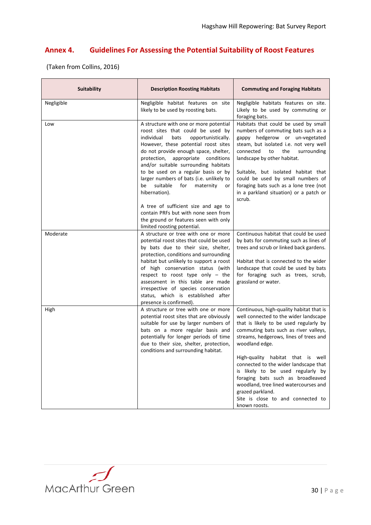# **Annex 4. Guidelines For Assessing the Potential Suitability of Roost Features**

(Taken from Collins, 2016)

| <b>Suitability</b> | <b>Description Roosting Habitats</b>                                                                                                                                                                                                                                                                                                                                                                                                   | <b>Commuting and Foraging Habitats</b>                                                                                                                                                                                                                                                                                                                                                                                                                                                                      |
|--------------------|----------------------------------------------------------------------------------------------------------------------------------------------------------------------------------------------------------------------------------------------------------------------------------------------------------------------------------------------------------------------------------------------------------------------------------------|-------------------------------------------------------------------------------------------------------------------------------------------------------------------------------------------------------------------------------------------------------------------------------------------------------------------------------------------------------------------------------------------------------------------------------------------------------------------------------------------------------------|
| Negligible         | Negligible habitat features on site<br>likely to be used by roosting bats.                                                                                                                                                                                                                                                                                                                                                             | Negligible habitats features on site.<br>Likely to be used by commuting or<br>foraging bats.                                                                                                                                                                                                                                                                                                                                                                                                                |
| Low                | A structure with one or more potential<br>roost sites that could be used by<br>individual<br>bats<br>opportunistically.<br>However, these potential roost sites<br>do not provide enough space, shelter,<br>protection, appropriate conditions<br>and/or suitable surrounding habitats<br>to be used on a regular basis or by<br>larger numbers of bats (i.e. unlikely to<br>suitable<br>be<br>for<br>maternity<br>or<br>hibernation). | Habitats that could be used by small<br>numbers of commuting bats such as a<br>gappy hedgerow or un-vegetated<br>steam, but isolated i.e. not very well<br>the<br>connected<br>to<br>surrounding<br>landscape by other habitat.<br>Suitable, but isolated habitat that<br>could be used by small numbers of<br>foraging bats such as a lone tree (not<br>in a parkland situation) or a patch or                                                                                                             |
|                    | A tree of sufficient size and age to<br>contain PRFs but with none seen from<br>the ground or features seen with only<br>limited roosting potential.                                                                                                                                                                                                                                                                                   | scrub.                                                                                                                                                                                                                                                                                                                                                                                                                                                                                                      |
| Moderate           | A structure or tree with one or more<br>potential roost sites that could be used<br>by bats due to their size, shelter,<br>protection, conditions and surrounding<br>habitat but unlikely to support a roost<br>of high conservation status (with<br>respect to roost type only $-$ the<br>assessment in this table are made<br>irrespective of species conservation<br>status, which is established after<br>presence is confirmed).  | Continuous habitat that could be used<br>by bats for commuting such as lines of<br>trees and scrub or linked back gardens.<br>Habitat that is connected to the wider<br>landscape that could be used by bats<br>for foraging such as trees, scrub,<br>grassland or water.                                                                                                                                                                                                                                   |
| High               | A structure or tree with one or more<br>potential roost sites that are obviously<br>suitable for use by larger numbers of<br>bats on a more regular basis and<br>potentially for longer periods of time<br>due to their size, shelter, protection,<br>conditions and surrounding habitat.                                                                                                                                              | Continuous, high-quality habitat that is<br>well connected to the wider landscape<br>that is likely to be used regularly by<br>commuting bats such as river valleys,<br>streams, hedgerows, lines of trees and<br>woodland edge.<br>High-quality habitat that is well<br>connected to the wider landscape that<br>is likely to be used regularly by<br>foraging bats such as broadleaved<br>woodland, tree lined watercourses and<br>grazed parkland.<br>Site is close to and connected to<br>known roosts. |

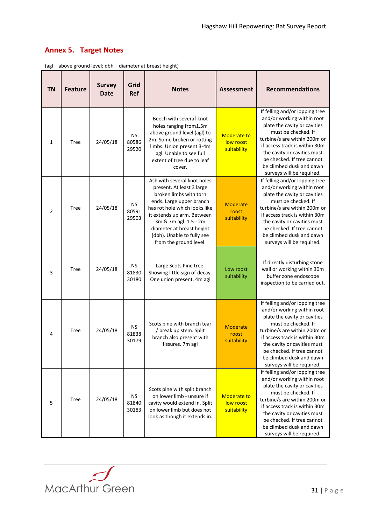# <span id="page-32-0"></span>**Annex 5. Target Notes**

| <b>TN</b>      | <b>Feature</b> | <b>Survey</b><br><b>Date</b> | Grid<br><b>Ref</b>          | <b>Notes</b>                                                                                                                                                                                                                                                                                | <b>Assessment</b>                              | <b>Recommendations</b>                                                                                                                                                                                                                                                                                     |
|----------------|----------------|------------------------------|-----------------------------|---------------------------------------------------------------------------------------------------------------------------------------------------------------------------------------------------------------------------------------------------------------------------------------------|------------------------------------------------|------------------------------------------------------------------------------------------------------------------------------------------------------------------------------------------------------------------------------------------------------------------------------------------------------------|
| 1              | Tree           | 24/05/18                     | <b>NS</b><br>80586<br>29520 | Beech with several knot<br>holes ranging from 1.5m<br>above ground level (agl) to<br>2m. Some broken or rotting<br>limbs. Union present 3-4m<br>agl. Unable to see full<br>extent of tree due to leaf<br>cover.                                                                             | <b>Moderate to</b><br>low roost<br>suitability | If felling and/or lopping tree<br>and/or working within root<br>plate the cavity or cavities<br>must be checked. If<br>turbine/s are within 200m or<br>if access track is within 30m<br>the cavity or cavities must<br>be checked. If tree cannot<br>be climbed dusk and dawn<br>surveys will be required. |
| $\overline{2}$ | Tree           | 24/05/18                     | <b>NS</b><br>80591<br>29503 | Ash with several knot holes<br>present. At least 3 large<br>broken limbs with torn<br>ends. Large upper branch<br>has rot hole which looks like<br>it extends up arm. Between<br>3m & 7m agl. 1.5 - 2m<br>diameter at breast height<br>(dbh). Unable to fully see<br>from the ground level. | <b>Moderate</b><br>roost<br>suitability        | If felling and/or lopping tree<br>and/or working within root<br>plate the cavity or cavities<br>must be checked. If<br>turbine/s are within 200m or<br>if access track is within 30m<br>the cavity or cavities must<br>be checked. If tree cannot<br>be climbed dusk and dawn<br>surveys will be required. |
| 3              | Tree           | 24/05/18                     | NS<br>81830<br>30180        | Large Scots Pine tree.<br>Showing little sign of decay.<br>One union present. 4m agl                                                                                                                                                                                                        | Low roost<br>suitability                       | If directly disturbing stone<br>wall or working within 30m<br>buffer zone endoscope<br>inspection to be carried out.                                                                                                                                                                                       |
| 4              | Tree           | 24/05/18                     | <b>NS</b><br>81838<br>30179 | Scots pine with branch tear<br>/ break up stem. Split<br>branch also present with<br>fissures. 7m agl                                                                                                                                                                                       | <b>Moderate</b><br>roost<br>suitability        | If felling and/or lopping tree<br>and/or working within root<br>plate the cavity or cavities<br>must be checked. If<br>turbine/s are within 200m or<br>if access track is within 30m<br>the cavity or cavities must<br>be checked. If tree cannot<br>be climbed dusk and dawn<br>surveys will be required. |
| 5              | Tree           | 24/05/18                     | <b>NS</b><br>81840<br>30183 | Scots pine with split branch<br>on lower limb - unsure if<br>cavity would extend in. Split<br>on lower limb but does not<br>look as though it extends in.                                                                                                                                   | <b>Moderate to</b><br>low roost<br>suitability | If felling and/or lopping tree<br>and/or working within root<br>plate the cavity or cavities<br>must be checked. If<br>turbine/s are within 200m or<br>if access track is within 30m<br>the cavity or cavities must<br>be checked. If tree cannot<br>be climbed dusk and dawn<br>surveys will be required. |

(agl – above ground level; dbh – diameter at breast height)

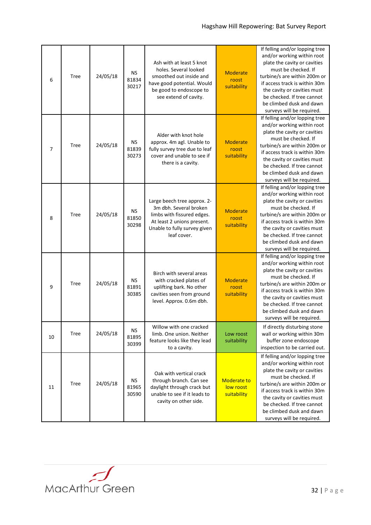| 6  | Tree        | 24/05/18 | <b>NS</b><br>81834<br>30217 | Ash with at least 5 knot<br>holes. Several looked<br>smoothed out inside and<br>have good potential. Would<br>be good to endoscope to<br>see extend of cavity.   | <b>Moderate</b><br>roost<br>suitability        | If felling and/or lopping tree<br>and/or working within root<br>plate the cavity or cavities<br>must be checked. If<br>turbine/s are within 200m or<br>if access track is within 30m<br>the cavity or cavities must<br>be checked. If tree cannot<br>be climbed dusk and dawn<br>surveys will be required. |
|----|-------------|----------|-----------------------------|------------------------------------------------------------------------------------------------------------------------------------------------------------------|------------------------------------------------|------------------------------------------------------------------------------------------------------------------------------------------------------------------------------------------------------------------------------------------------------------------------------------------------------------|
| 7  | <b>Tree</b> | 24/05/18 | ΝS<br>81839<br>30273        | Alder with knot hole<br>approx. 4m agl. Unable to<br>fully survey tree due to leaf<br>cover and unable to see if<br>there is a cavity.                           | <b>Moderate</b><br>roost<br>suitability        | If felling and/or lopping tree<br>and/or working within root<br>plate the cavity or cavities<br>must be checked. If<br>turbine/s are within 200m or<br>if access track is within 30m<br>the cavity or cavities must<br>be checked. If tree cannot<br>be climbed dusk and dawn<br>surveys will be required. |
| 8  | Tree        | 24/05/18 | ΝS<br>81850<br>30298        | Large beech tree approx. 2-<br>3m dbh. Several broken<br>limbs with fissured edges.<br>At least 2 unions present.<br>Unable to fully survey given<br>leaf cover. | <b>Moderate</b><br>roost<br>suitability        | If felling and/or lopping tree<br>and/or working within root<br>plate the cavity or cavities<br>must be checked. If<br>turbine/s are within 200m or<br>if access track is within 30m<br>the cavity or cavities must<br>be checked. If tree cannot<br>be climbed dusk and dawn<br>surveys will be required. |
| 9  | Tree        | 24/05/18 | ΝS<br>81891<br>30385        | Birch with several areas<br>with cracked plates of<br>uplifting bark. No other<br>cavities seen from ground<br>level. Approx. 0.6m dbh.                          | <b>Moderate</b><br>roost<br>suitability        | If felling and/or lopping tree<br>and/or working within root<br>plate the cavity or cavities<br>must be checked. If<br>turbine/s are within 200m or<br>if access track is within 30m<br>the cavity or cavities must<br>be checked. If tree cannot<br>be climbed dusk and dawn<br>surveys will be required. |
| 10 | Tree        | 24/05/18 | <b>NS</b><br>81895<br>30399 | Willow with one cracked<br>limb. One union. Neither<br>feature looks like they lead<br>to a cavity.                                                              | Low roost<br>suitability                       | If directly disturbing stone<br>wall or working within 30m<br>buffer zone endoscope<br>inspection to be carried out.                                                                                                                                                                                       |
| 11 | Tree        | 24/05/18 | ΝS<br>81965<br>30590        | Oak with vertical crack<br>through branch. Can see<br>daylight through crack but<br>unable to see if it leads to<br>cavity on other side.                        | <b>Moderate to</b><br>low roost<br>suitability | If felling and/or lopping tree<br>and/or working within root<br>plate the cavity or cavities<br>must be checked. If<br>turbine/s are within 200m or<br>if access track is within 30m<br>the cavity or cavities must<br>be checked. If tree cannot<br>be climbed dusk and dawn<br>surveys will be required. |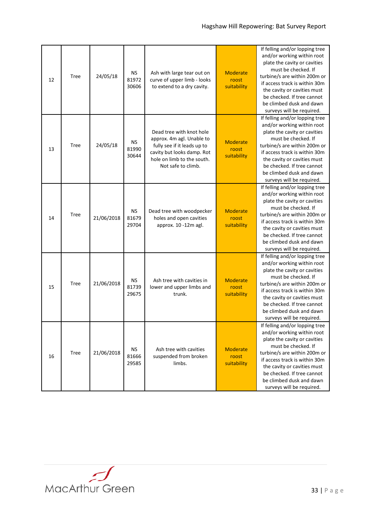| 12 | Tree | 24/05/18   | ΝS<br>81972<br>30606        | Ash with large tear out on<br>curve of upper limb - looks<br>to extend to a dry cavity.                                                                                | <b>Moderate</b><br>roost<br>suitability | If felling and/or lopping tree<br>and/or working within root<br>plate the cavity or cavities<br>must be checked. If<br>turbine/s are within 200m or<br>if access track is within 30m<br>the cavity or cavities must<br>be checked. If tree cannot<br>be climbed dusk and dawn<br>surveys will be required. |
|----|------|------------|-----------------------------|------------------------------------------------------------------------------------------------------------------------------------------------------------------------|-----------------------------------------|------------------------------------------------------------------------------------------------------------------------------------------------------------------------------------------------------------------------------------------------------------------------------------------------------------|
| 13 | Tree | 24/05/18   | ΝS<br>81990<br>30644        | Dead tree with knot hole<br>approx. 4m agl. Unable to<br>fully see if it leads up to<br>cavity but looks damp. Rot<br>hole on limb to the south.<br>Not safe to climb. | <b>Moderate</b><br>roost<br>suitability | If felling and/or lopping tree<br>and/or working within root<br>plate the cavity or cavities<br>must be checked. If<br>turbine/s are within 200m or<br>if access track is within 30m<br>the cavity or cavities must<br>be checked. If tree cannot<br>be climbed dusk and dawn<br>surveys will be required. |
| 14 | Tree | 21/06/2018 | <b>NS</b><br>81679<br>29704 | Dead tree with woodpecker<br>holes and open cavities<br>approx. 10 -12m agl.                                                                                           | <b>Moderate</b><br>roost<br>suitability | If felling and/or lopping tree<br>and/or working within root<br>plate the cavity or cavities<br>must be checked. If<br>turbine/s are within 200m or<br>if access track is within 30m<br>the cavity or cavities must<br>be checked. If tree cannot<br>be climbed dusk and dawn<br>surveys will be required. |
| 15 | Tree | 21/06/2018 | <b>NS</b><br>81739<br>29675 | Ash tree with cavities in<br>lower and upper limbs and<br>trunk.                                                                                                       | <b>Moderate</b><br>roost<br>suitability | If felling and/or lopping tree<br>and/or working within root<br>plate the cavity or cavities<br>must be checked. If<br>turbine/s are within 200m or<br>if access track is within 30m<br>the cavity or cavities must<br>be checked. If tree cannot<br>be climbed dusk and dawn<br>surveys will be required. |
| 16 | Tree | 21/06/2018 | <b>NS</b><br>81666<br>29585 | Ash tree with cavities<br>suspended from broken<br>limbs.                                                                                                              | <b>Moderate</b><br>roost<br>suitability | If felling and/or lopping tree<br>and/or working within root<br>plate the cavity or cavities<br>must be checked. If<br>turbine/s are within 200m or<br>if access track is within 30m<br>the cavity or cavities must<br>be checked. If tree cannot<br>be climbed dusk and dawn<br>surveys will be required. |